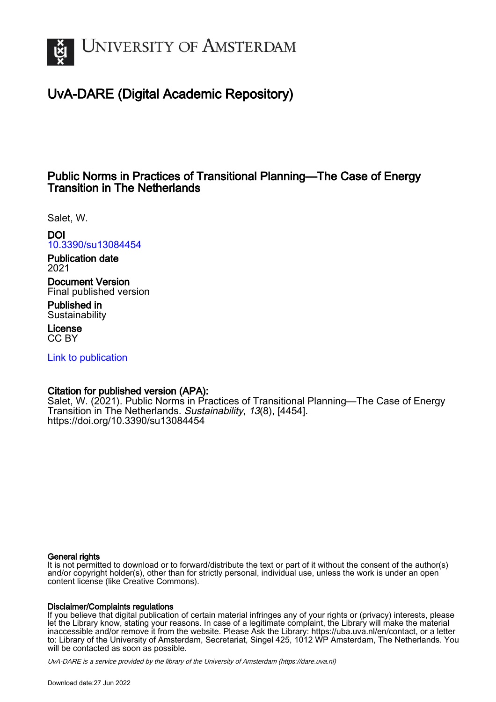

# UvA-DARE (Digital Academic Repository)

## Public Norms in Practices of Transitional Planning—The Case of Energy Transition in The Netherlands

Salet, W.

DOI [10.3390/su13084454](https://doi.org/10.3390/su13084454)

Publication date 2021

Document Version Final published version

Published in **Sustainability** 

License CC BY

[Link to publication](https://dare.uva.nl/personal/pure/en/publications/public-norms-in-practices-of-transitional-planningthe-case-of-energy-transition-in-the-netherlands(cc63d9e1-935e-442b-9b35-60cefe75c8f8).html)

## Citation for published version (APA):

Salet, W. (2021). Public Norms in Practices of Transitional Planning—The Case of Energy Transition in The Netherlands. Sustainability, 13(8), [4454]. <https://doi.org/10.3390/su13084454>

## General rights

It is not permitted to download or to forward/distribute the text or part of it without the consent of the author(s) and/or copyright holder(s), other than for strictly personal, individual use, unless the work is under an open content license (like Creative Commons).

## Disclaimer/Complaints regulations

If you believe that digital publication of certain material infringes any of your rights or (privacy) interests, please let the Library know, stating your reasons. In case of a legitimate complaint, the Library will make the material inaccessible and/or remove it from the website. Please Ask the Library: https://uba.uva.nl/en/contact, or a letter to: Library of the University of Amsterdam, Secretariat, Singel 425, 1012 WP Amsterdam, The Netherlands. You will be contacted as soon as possible.

UvA-DARE is a service provided by the library of the University of Amsterdam (http*s*://dare.uva.nl)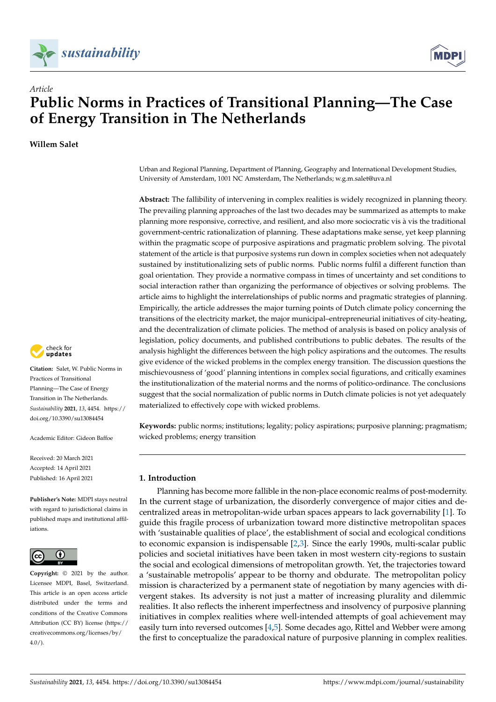



**Willem Salet**



**Citation:** Salet, W. Public Norms in Practices of Transitional Planning—The Case of Energy Transition in The Netherlands. *Sustainability* **2021**, *13*, 4454. [https://](https://doi.org/10.3390/su13084454) [doi.org/10.3390/su13084454](https://doi.org/10.3390/su13084454)

Academic Editor: Gideon Baffoe

Received: 20 March 2021 Accepted: 14 April 2021 Published: 16 April 2021

**Publisher's Note:** MDPI stays neutral with regard to jurisdictional claims in published maps and institutional affiliations.



**Copyright:** © 2021 by the author. Licensee MDPI, Basel, Switzerland. This article is an open access article distributed under the terms and conditions of the Creative Commons Attribution (CC BY) license (https:/[/](https://creativecommons.org/licenses/by/4.0/) [creativecommons.org/licenses/by/](https://creativecommons.org/licenses/by/4.0/)  $4.0/$ ).

Urban and Regional Planning, Department of Planning, Geography and International Development Studies, University of Amsterdam, 1001 NC Amsterdam, The Netherlands; w.g.m.salet@uva.nl

**Abstract:** The fallibility of intervening in complex realities is widely recognized in planning theory. The prevailing planning approaches of the last two decades may be summarized as attempts to make planning more responsive, corrective, and resilient, and also more sociocratic vis à vis the traditional government-centric rationalization of planning. These adaptations make sense, yet keep planning within the pragmatic scope of purposive aspirations and pragmatic problem solving. The pivotal statement of the article is that purposive systems run down in complex societies when not adequately sustained by institutionalizing sets of public norms. Public norms fulfil a different function than goal orientation. They provide a normative compass in times of uncertainty and set conditions to social interaction rather than organizing the performance of objectives or solving problems. The article aims to highlight the interrelationships of public norms and pragmatic strategies of planning. Empirically, the article addresses the major turning points of Dutch climate policy concerning the transitions of the electricity market, the major municipal–entrepreneurial initiatives of city-heating, and the decentralization of climate policies. The method of analysis is based on policy analysis of legislation, policy documents, and published contributions to public debates. The results of the analysis highlight the differences between the high policy aspirations and the outcomes. The results give evidence of the wicked problems in the complex energy transition. The discussion questions the mischievousness of 'good' planning intentions in complex social figurations, and critically examines the institutionalization of the material norms and the norms of politico-ordinance. The conclusions suggest that the social normalization of public norms in Dutch climate policies is not yet adequately materialized to effectively cope with wicked problems.

**Keywords:** public norms; institutions; legality; policy aspirations; purposive planning; pragmatism; wicked problems; energy transition

## **1. Introduction**

Planning has become more fallible in the non-place economic realms of post-modernity. In the current stage of urbanization, the disorderly convergence of major cities and decentralized areas in metropolitan-wide urban spaces appears to lack governability [\[1\]](#page-23-0). To guide this fragile process of urbanization toward more distinctive metropolitan spaces with 'sustainable qualities of place', the establishment of social and ecological conditions to economic expansion is indispensable [\[2](#page-23-1)[,3\]](#page-23-2). Since the early 1990s, multi-scalar public policies and societal initiatives have been taken in most western city-regions to sustain the social and ecological dimensions of metropolitan growth. Yet, the trajectories toward a 'sustainable metropolis' appear to be thorny and obdurate. The metropolitan policy mission is characterized by a permanent state of negotiation by many agencies with divergent stakes. Its adversity is not just a matter of increasing plurality and dilemmic realities. It also reflects the inherent imperfectness and insolvency of purposive planning initiatives in complex realities where well-intended attempts of goal achievement may easily turn into reversed outcomes [\[4](#page-23-3)[,5\]](#page-23-4). Some decades ago, Rittel and Webber were among the first to conceptualize the paradoxical nature of purposive planning in complex realities.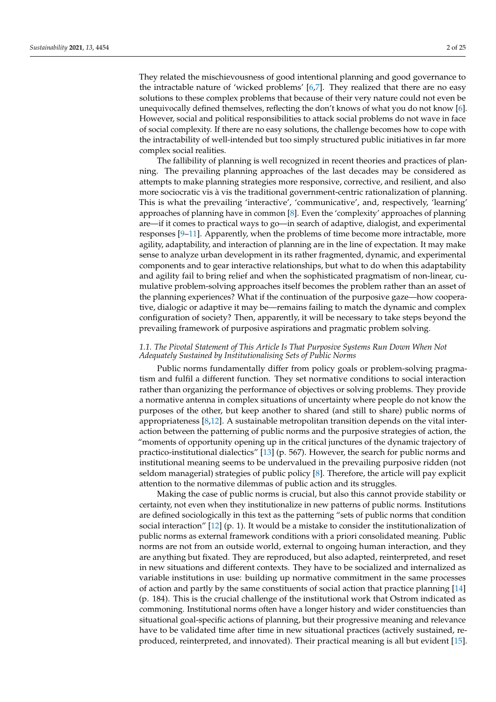They related the mischievousness of good intentional planning and good governance to the intractable nature of 'wicked problems' [\[6,](#page-23-5)[7\]](#page-23-6). They realized that there are no easy solutions to these complex problems that because of their very nature could not even be unequivocally defined themselves, reflecting the don't knows of what you do not know [\[6\]](#page-23-5). However, social and political responsibilities to attack social problems do not wave in face of social complexity. If there are no easy solutions, the challenge becomes how to cope with the intractability of well-intended but too simply structured public initiatives in far more complex social realities.

The fallibility of planning is well recognized in recent theories and practices of planning. The prevailing planning approaches of the last decades may be considered as attempts to make planning strategies more responsive, corrective, and resilient, and also more sociocratic vis à vis the traditional government-centric rationalization of planning. This is what the prevailing 'interactive', 'communicative', and, respectively, 'learning' approaches of planning have in common [\[8\]](#page-23-7). Even the 'complexity' approaches of planning are—if it comes to practical ways to go—in search of adaptive, dialogist, and experimental responses [\[9–](#page-23-8)[11\]](#page-23-9). Apparently, when the problems of time become more intractable, more agility, adaptability, and interaction of planning are in the line of expectation. It may make sense to analyze urban development in its rather fragmented, dynamic, and experimental components and to gear interactive relationships, but what to do when this adaptability and agility fail to bring relief and when the sophisticated pragmatism of non-linear, cumulative problem-solving approaches itself becomes the problem rather than an asset of the planning experiences? What if the continuation of the purposive gaze—how cooperative, dialogic or adaptive it may be—remains failing to match the dynamic and complex configuration of society? Then, apparently, it will be necessary to take steps beyond the prevailing framework of purposive aspirations and pragmatic problem solving.

## *1.1. The Pivotal Statement of This Article Is That Purposive Systems Run Down When Not Adequately Sustained by Institutionalising Sets of Public Norms*

Public norms fundamentally differ from policy goals or problem-solving pragmatism and fulfil a different function. They set normative conditions to social interaction rather than organizing the performance of objectives or solving problems. They provide a normative antenna in complex situations of uncertainty where people do not know the purposes of the other, but keep another to shared (and still to share) public norms of appropriateness  $[8,12]$  $[8,12]$ . A sustainable metropolitan transition depends on the vital interaction between the patterning of public norms and the purposive strategies of action, the "moments of opportunity opening up in the critical junctures of the dynamic trajectory of practico-institutional dialectics" [\[13\]](#page-23-11) (p. 567). However, the search for public norms and institutional meaning seems to be undervalued in the prevailing purposive ridden (not seldom managerial) strategies of public policy [\[8\]](#page-23-7). Therefore, the article will pay explicit attention to the normative dilemmas of public action and its struggles.

Making the case of public norms is crucial, but also this cannot provide stability or certainty, not even when they institutionalize in new patterns of public norms. Institutions are defined sociologically in this text as the patterning "sets of public norms that condition social interaction"  $[12]$  (p. 1). It would be a mistake to consider the institutionalization of public norms as external framework conditions with a priori consolidated meaning. Public norms are not from an outside world, external to ongoing human interaction, and they are anything but fixated. They are reproduced, but also adapted, reinterpreted, and reset in new situations and different contexts. They have to be socialized and internalized as variable institutions in use: building up normative commitment in the same processes of action and partly by the same constituents of social action that practice planning [\[14\]](#page-23-12) (p. 184). This is the crucial challenge of the institutional work that Ostrom indicated as commoning. Institutional norms often have a longer history and wider constituencies than situational goal-specific actions of planning, but their progressive meaning and relevance have to be validated time after time in new situational practices (actively sustained, reproduced, reinterpreted, and innovated). Their practical meaning is all but evident [\[15\]](#page-23-13).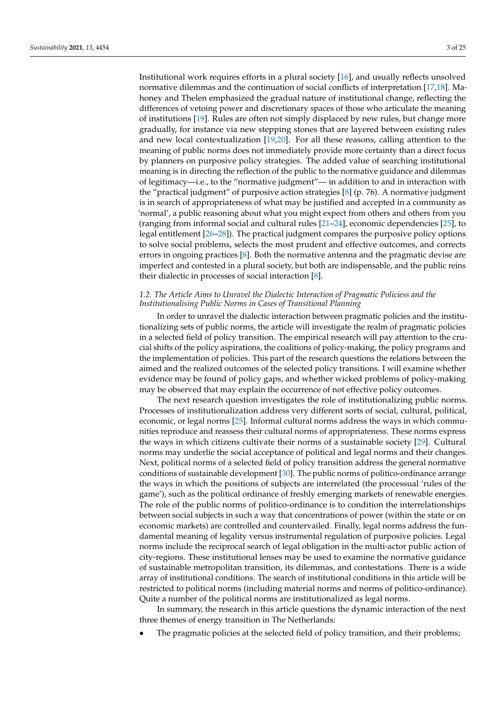Institutional work requires efforts in a plural society [\[16\]](#page-23-14), and usually reflects unsolved normative dilemmas and the continuation of social conflicts of interpretation [\[17](#page-23-15)[,18\]](#page-23-16). Mahoney and Thelen emphasized the gradual nature of institutional change, reflecting the differences of vetoing power and discretionary spaces of those who articulate the meaning of institutions [\[19\]](#page-23-17). Rules are often not simply displaced by new rules, but change more gradually, for instance via new stepping stones that are layered between existing rules and new local contextualization [\[19,](#page-23-17)[20\]](#page-23-18). For all these reasons, calling attention to the meaning of public norms does not immediately provide more certainty than a direct focus by planners on purposive policy strategies. The added value of searching institutional meaning is in directing the reflection of the public to the normative guidance and dilemmas of legitimacy—i.e., to the "normative judgment"— in addition to and in interaction with the "practical judgment" of purposive action strategies [\[8\]](#page-23-7) (p. 76). A normative judgment is in search of appropriateness of what may be justified and accepted in a community as 'normal', a public reasoning about what you might expect from others and others from you (ranging from informal social and cultural rules [\[21](#page-23-19)[–24\]](#page-23-20), economic dependencies [\[25\]](#page-23-21), to legal entitlement [\[26–](#page-24-0)[28\]](#page-24-1)). The practical judgment compares the purposive policy options to solve social problems, selects the most prudent and effective outcomes, and corrects errors in ongoing practices [\[8\]](#page-23-7). Both the normative antenna and the pragmatic devise are imperfect and contested in a plural society, but both are indispensable, and the public reins their dialectic in processes of social interaction [\[8\]](#page-23-7).

#### *1.2. The Article Aims to Unravel the Dialectic Interaction of Pragmatic Policiess and the Institutionalising Public Norms in Cases of Transitional Planning*

In order to unravel the dialectic interaction between pragmatic policies and the institutionalizing sets of public norms, the article will investigate the realm of pragmatic policies in a selected field of policy transition. The empirical research will pay attention to the crucial shifts of the policy aspirations, the coalitions of policy-making, the policy programs and the implementation of policies. This part of the research questions the relations between the aimed and the realized outcomes of the selected policy transitions. I will examine whether evidence may be found of policy gaps, and whether wicked problems of policy-making may be observed that may explain the occurrence of not effective policy outcomes.

The next research question investigates the role of institutionalizing public norms. Processes of institutionalization address very different sorts of social, cultural, political, economic, or legal norms [\[25\]](#page-23-21). Informal cultural norms address the ways in which communities reproduce and reassess their cultural norms of appropriateness. These norms express the ways in which citizens cultivate their norms of a sustainable society [\[29\]](#page-24-2). Cultural norms may underlie the social acceptance of political and legal norms and their changes. Next, political norms of a selected field of policy transition address the general normative conditions of sustainable development [\[30\]](#page-24-3). The public norms of politico-ordinance arrange the ways in which the positions of subjects are interrelated (the processual 'rules of the game'), such as the political ordinance of freshly emerging markets of renewable energies. The role of the public norms of politico-ordinance is to condition the interrelationships between social subjects in such a way that concentrations of power (within the state or on economic markets) are controlled and countervailed. Finally, legal norms address the fundamental meaning of legality versus instrumental regulation of purposive policies. Legal norms include the reciprocal search of legal obligation in the multi-actor public action of city-regions. These institutional lenses may be used to examine the normative guidance of sustainable metropolitan transition, its dilemmas, and contestations. There is a wide array of institutional conditions. The search of institutional conditions in this article will be restricted to political norms (including material norms and norms of politico-ordinance). Quite a number of the political norms are institutionalized as legal norms.

In summary, the research in this article questions the dynamic interaction of the next three themes of energy transition in The Netherlands:

The pragmatic policies at the selected field of policy transition, and their problems;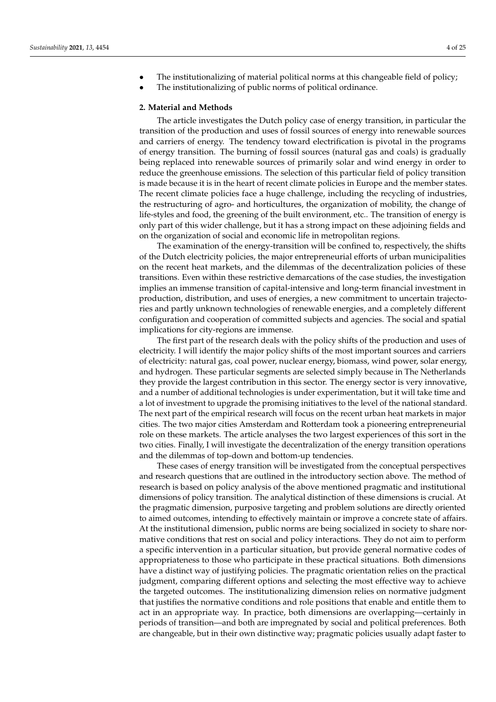- The institutionalizing of material political norms at this changeable field of policy;
- The institutionalizing of public norms of political ordinance.

#### **2. Material and Methods**

The article investigates the Dutch policy case of energy transition, in particular the transition of the production and uses of fossil sources of energy into renewable sources and carriers of energy. The tendency toward electrification is pivotal in the programs of energy transition. The burning of fossil sources (natural gas and coals) is gradually being replaced into renewable sources of primarily solar and wind energy in order to reduce the greenhouse emissions. The selection of this particular field of policy transition is made because it is in the heart of recent climate policies in Europe and the member states. The recent climate policies face a huge challenge, including the recycling of industries, the restructuring of agro- and horticultures, the organization of mobility, the change of life-styles and food, the greening of the built environment, etc.. The transition of energy is only part of this wider challenge, but it has a strong impact on these adjoining fields and on the organization of social and economic life in metropolitan regions.

The examination of the energy-transition will be confined to, respectively, the shifts of the Dutch electricity policies, the major entrepreneurial efforts of urban municipalities on the recent heat markets, and the dilemmas of the decentralization policies of these transitions. Even within these restrictive demarcations of the case studies, the investigation implies an immense transition of capital-intensive and long-term financial investment in production, distribution, and uses of energies, a new commitment to uncertain trajectories and partly unknown technologies of renewable energies, and a completely different configuration and cooperation of committed subjects and agencies. The social and spatial implications for city-regions are immense.

The first part of the research deals with the policy shifts of the production and uses of electricity. I will identify the major policy shifts of the most important sources and carriers of electricity: natural gas, coal power, nuclear energy, biomass, wind power, solar energy, and hydrogen. These particular segments are selected simply because in The Netherlands they provide the largest contribution in this sector. The energy sector is very innovative, and a number of additional technologies is under experimentation, but it will take time and a lot of investment to upgrade the promising initiatives to the level of the national standard. The next part of the empirical research will focus on the recent urban heat markets in major cities. The two major cities Amsterdam and Rotterdam took a pioneering entrepreneurial role on these markets. The article analyses the two largest experiences of this sort in the two cities. Finally, I will investigate the decentralization of the energy transition operations and the dilemmas of top-down and bottom-up tendencies.

These cases of energy transition will be investigated from the conceptual perspectives and research questions that are outlined in the introductory section above. The method of research is based on policy analysis of the above mentioned pragmatic and institutional dimensions of policy transition. The analytical distinction of these dimensions is crucial. At the pragmatic dimension, purposive targeting and problem solutions are directly oriented to aimed outcomes, intending to effectively maintain or improve a concrete state of affairs. At the institutional dimension, public norms are being socialized in society to share normative conditions that rest on social and policy interactions. They do not aim to perform a specific intervention in a particular situation, but provide general normative codes of appropriateness to those who participate in these practical situations. Both dimensions have a distinct way of justifying policies. The pragmatic orientation relies on the practical judgment, comparing different options and selecting the most effective way to achieve the targeted outcomes. The institutionalizing dimension relies on normative judgment that justifies the normative conditions and role positions that enable and entitle them to act in an appropriate way. In practice, both dimensions are overlapping—certainly in periods of transition—and both are impregnated by social and political preferences. Both are changeable, but in their own distinctive way; pragmatic policies usually adapt faster to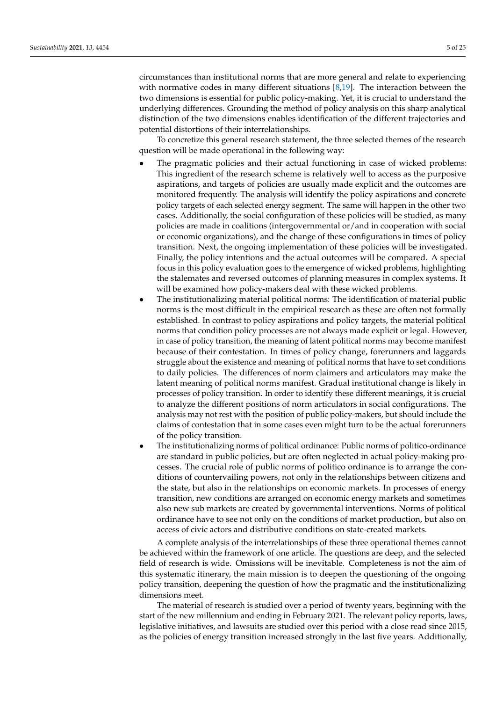circumstances than institutional norms that are more general and relate to experiencing with normative codes in many different situations  $[8,19]$  $[8,19]$ . The interaction between the two dimensions is essential for public policy-making. Yet, it is crucial to understand the underlying differences. Grounding the method of policy analysis on this sharp analytical distinction of the two dimensions enables identification of the different trajectories and potential distortions of their interrelationships.

To concretize this general research statement, the three selected themes of the research question will be made operational in the following way:

- The pragmatic policies and their actual functioning in case of wicked problems: This ingredient of the research scheme is relatively well to access as the purposive aspirations, and targets of policies are usually made explicit and the outcomes are monitored frequently. The analysis will identify the policy aspirations and concrete policy targets of each selected energy segment. The same will happen in the other two cases. Additionally, the social configuration of these policies will be studied, as many policies are made in coalitions (intergovernmental or/and in cooperation with social or economic organizations), and the change of these configurations in times of policy transition. Next, the ongoing implementation of these policies will be investigated. Finally, the policy intentions and the actual outcomes will be compared. A special focus in this policy evaluation goes to the emergence of wicked problems, highlighting the stalemates and reversed outcomes of planning measures in complex systems. It will be examined how policy-makers deal with these wicked problems.
- The institutionalizing material political norms: The identification of material public norms is the most difficult in the empirical research as these are often not formally established. In contrast to policy aspirations and policy targets, the material political norms that condition policy processes are not always made explicit or legal. However, in case of policy transition, the meaning of latent political norms may become manifest because of their contestation. In times of policy change, forerunners and laggards struggle about the existence and meaning of political norms that have to set conditions to daily policies. The differences of norm claimers and articulators may make the latent meaning of political norms manifest. Gradual institutional change is likely in processes of policy transition. In order to identify these different meanings, it is crucial to analyze the different positions of norm articulators in social configurations. The analysis may not rest with the position of public policy-makers, but should include the claims of contestation that in some cases even might turn to be the actual forerunners of the policy transition.
- The institutionalizing norms of political ordinance: Public norms of politico-ordinance are standard in public policies, but are often neglected in actual policy-making processes. The crucial role of public norms of politico ordinance is to arrange the conditions of countervailing powers, not only in the relationships between citizens and the state, but also in the relationships on economic markets. In processes of energy transition, new conditions are arranged on economic energy markets and sometimes also new sub markets are created by governmental interventions. Norms of political ordinance have to see not only on the conditions of market production, but also on access of civic actors and distributive conditions on state-created markets.

A complete analysis of the interrelationships of these three operational themes cannot be achieved within the framework of one article. The questions are deep, and the selected field of research is wide. Omissions will be inevitable. Completeness is not the aim of this systematic itinerary, the main mission is to deepen the questioning of the ongoing policy transition, deepening the question of how the pragmatic and the institutionalizing dimensions meet.

The material of research is studied over a period of twenty years, beginning with the start of the new millennium and ending in February 2021. The relevant policy reports, laws, legislative initiatives, and lawsuits are studied over this period with a close read since 2015, as the policies of energy transition increased strongly in the last five years. Additionally,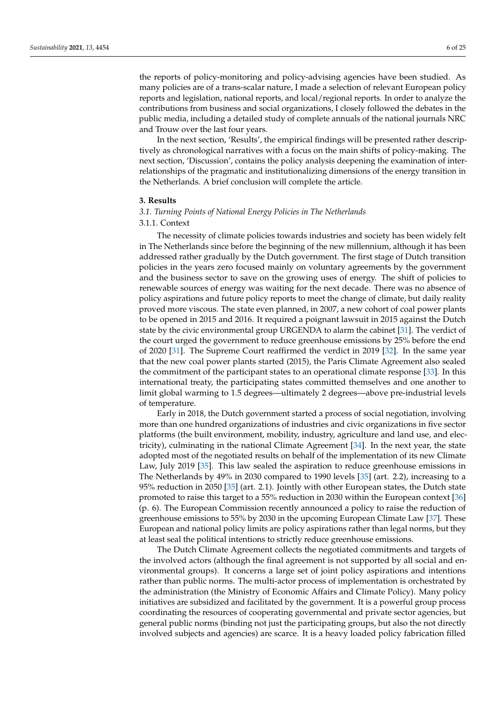the reports of policy-monitoring and policy-advising agencies have been studied. As many policies are of a trans-scalar nature, I made a selection of relevant European policy reports and legislation, national reports, and local/regional reports. In order to analyze the contributions from business and social organizations, I closely followed the debates in the public media, including a detailed study of complete annuals of the national journals NRC and Trouw over the last four years.

In the next section, 'Results', the empirical findings will be presented rather descriptively as chronological narratives with a focus on the main shifts of policy-making. The next section, 'Discussion', contains the policy analysis deepening the examination of interrelationships of the pragmatic and institutionalizing dimensions of the energy transition in the Netherlands. A brief conclusion will complete the article.

#### **3. Results**

#### *3.1. Turning Points of National Energy Policies in The Netherlands*

### 3.1.1. Context

The necessity of climate policies towards industries and society has been widely felt in The Netherlands since before the beginning of the new millennium, although it has been addressed rather gradually by the Dutch government. The first stage of Dutch transition policies in the years zero focused mainly on voluntary agreements by the government and the business sector to save on the growing uses of energy. The shift of policies to renewable sources of energy was waiting for the next decade. There was no absence of policy aspirations and future policy reports to meet the change of climate, but daily reality proved more viscous. The state even planned, in 2007, a new cohort of coal power plants to be opened in 2015 and 2016. It required a poignant lawsuit in 2015 against the Dutch state by the civic environmental group URGENDA to alarm the cabinet [\[31\]](#page-24-4). The verdict of the court urged the government to reduce greenhouse emissions by 25% before the end of 2020 [\[31\]](#page-24-4). The Supreme Court reaffirmed the verdict in 2019 [\[32\]](#page-24-5). In the same year that the new coal power plants started (2015), the Paris Climate Agreement also sealed the commitment of the participant states to an operational climate response [\[33\]](#page-24-6). In this international treaty, the participating states committed themselves and one another to limit global warming to 1.5 degrees—ultimately 2 degrees—above pre-industrial levels of temperature.

Early in 2018, the Dutch government started a process of social negotiation, involving more than one hundred organizations of industries and civic organizations in five sector platforms (the built environment, mobility, industry, agriculture and land use, and electricity), culminating in the national Climate Agreement [\[34\]](#page-24-7). In the next year, the state adopted most of the negotiated results on behalf of the implementation of its new Climate Law, July 2019 [\[35\]](#page-24-8). This law sealed the aspiration to reduce greenhouse emissions in The Netherlands by 49% in 2030 compared to 1990 levels [\[35\]](#page-24-8) (art. 2.2), increasing to a 95% reduction in 2050 [\[35\]](#page-24-8) (art. 2.1). Jointly with other European states, the Dutch state promoted to raise this target to a 55% reduction in 2030 within the European context [\[36\]](#page-24-9) (p. 6). The European Commission recently announced a policy to raise the reduction of greenhouse emissions to 55% by 2030 in the upcoming European Climate Law [\[37\]](#page-24-10). These European and national policy limits are policy aspirations rather than legal norms, but they at least seal the political intentions to strictly reduce greenhouse emissions.

The Dutch Climate Agreement collects the negotiated commitments and targets of the involved actors (although the final agreement is not supported by all social and environmental groups). It concerns a large set of joint policy aspirations and intentions rather than public norms. The multi-actor process of implementation is orchestrated by the administration (the Ministry of Economic Affairs and Climate Policy). Many policy initiatives are subsidized and facilitated by the government. It is a powerful group process coordinating the resources of cooperating governmental and private sector agencies, but general public norms (binding not just the participating groups, but also the not directly involved subjects and agencies) are scarce. It is a heavy loaded policy fabrication filled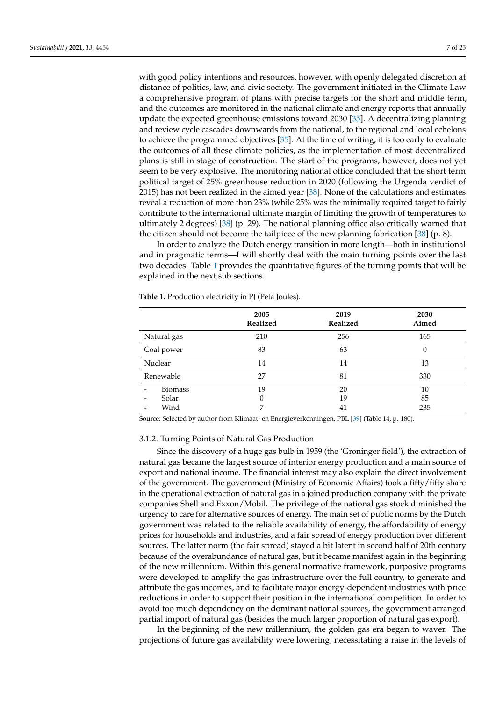with good policy intentions and resources, however, with openly delegated discretion at distance of politics, law, and civic society. The government initiated in the Climate Law a comprehensive program of plans with precise targets for the short and middle term, and the outcomes are monitored in the national climate and energy reports that annually update the expected greenhouse emissions toward 2030 [\[35\]](#page-24-8). A decentralizing planning and review cycle cascades downwards from the national, to the regional and local echelons to achieve the programmed objectives [\[35\]](#page-24-8). At the time of writing, it is too early to evaluate the outcomes of all these climate policies, as the implementation of most decentralized plans is still in stage of construction. The start of the programs, however, does not yet seem to be very explosive. The monitoring national office concluded that the short term political target of 25% greenhouse reduction in 2020 (following the Urgenda verdict of 2015) has not been realized in the aimed year [\[38\]](#page-24-11). None of the calculations and estimates reveal a reduction of more than 23% (while 25% was the minimally required target to fairly contribute to the international ultimate margin of limiting the growth of temperatures to ultimately 2 degrees) [\[38\]](#page-24-11) (p. 29). The national planning office also critically warned that the citizen should not become the tailpiece of the new planning fabrication [\[38\]](#page-24-11) (p. 8).

In order to analyze the Dutch energy transition in more length—both in institutional and in pragmatic terms—I will shortly deal with the main turning points over the last two decades. Table [1](#page-7-0) provides the quantitative figures of the turning points that will be explained in the next sub sections.

|                                                             | 2005<br>Realized | 2019<br>Realized | 2030<br>Aimed   |
|-------------------------------------------------------------|------------------|------------------|-----------------|
| Natural gas                                                 | 210              | 256              | 165             |
| Coal power                                                  | 83               | 63               | 0               |
| Nuclear                                                     | 14               | 14               | 13              |
| Renewable                                                   | 27               | 81               | 330             |
| <b>Biomass</b><br>Solar<br>$\overline{\phantom{a}}$<br>Wind | 19<br>0<br>7     | 20<br>19<br>41   | 10<br>85<br>235 |

<span id="page-7-0"></span>**Table 1.** Production electricity in PJ (Peta Joules).

Source: Selected by author from Klimaat- en Energieverkenningen, PBL [\[39\]](#page-24-12) (Table 14, p. 180).

#### 3.1.2. Turning Points of Natural Gas Production

Since the discovery of a huge gas bulb in 1959 (the 'Groninger field'), the extraction of natural gas became the largest source of interior energy production and a main source of export and national income. The financial interest may also explain the direct involvement of the government. The government (Ministry of Economic Affairs) took a fifty/fifty share in the operational extraction of natural gas in a joined production company with the private companies Shell and Exxon/Mobil. The privilege of the national gas stock diminished the urgency to care for alternative sources of energy. The main set of public norms by the Dutch government was related to the reliable availability of energy, the affordability of energy prices for households and industries, and a fair spread of energy production over different sources. The latter norm (the fair spread) stayed a bit latent in second half of 20th century because of the overabundance of natural gas, but it became manifest again in the beginning of the new millennium. Within this general normative framework, purposive programs were developed to amplify the gas infrastructure over the full country, to generate and attribute the gas incomes, and to facilitate major energy-dependent industries with price reductions in order to support their position in the international competition. In order to avoid too much dependency on the dominant national sources, the government arranged partial import of natural gas (besides the much larger proportion of natural gas export).

In the beginning of the new millennium, the golden gas era began to waver. The projections of future gas availability were lowering, necessitating a raise in the levels of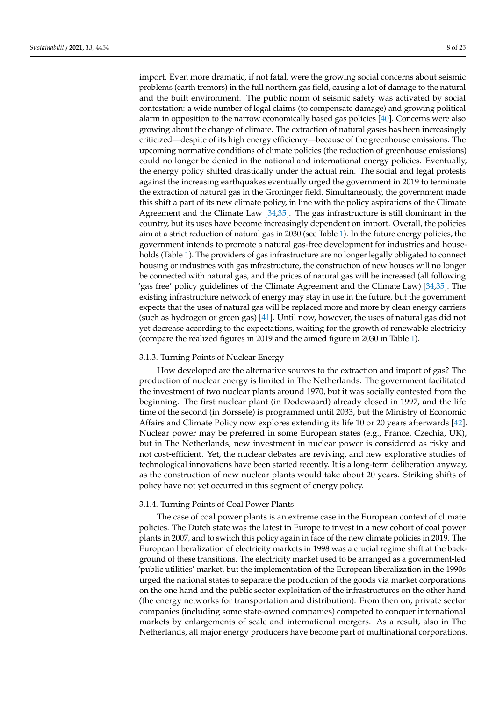import. Even more dramatic, if not fatal, were the growing social concerns about seismic problems (earth tremors) in the full northern gas field, causing a lot of damage to the natural and the built environment. The public norm of seismic safety was activated by social contestation: a wide number of legal claims (to compensate damage) and growing political alarm in opposition to the narrow economically based gas policies [\[40\]](#page-24-13). Concerns were also growing about the change of climate. The extraction of natural gases has been increasingly criticized—despite of its high energy efficiency—because of the greenhouse emissions. The upcoming normative conditions of climate policies (the reduction of greenhouse emissions) could no longer be denied in the national and international energy policies. Eventually, the energy policy shifted drastically under the actual rein. The social and legal protests against the increasing earthquakes eventually urged the government in 2019 to terminate the extraction of natural gas in the Groninger field. Simultaneously, the government made this shift a part of its new climate policy, in line with the policy aspirations of the Climate Agreement and the Climate Law [\[34](#page-24-7)[,35\]](#page-24-8). The gas infrastructure is still dominant in the country, but its uses have become increasingly dependent on import. Overall, the policies aim at a strict reduction of natural gas in 2030 (see Table [1\)](#page-7-0). In the future energy policies, the government intends to promote a natural gas-free development for industries and households (Table [1\)](#page-7-0). The providers of gas infrastructure are no longer legally obligated to connect housing or industries with gas infrastructure, the construction of new houses will no longer be connected with natural gas, and the prices of natural gas will be increased (all following 'gas free' policy guidelines of the Climate Agreement and the Climate Law) [\[34,](#page-24-7)[35\]](#page-24-8). The existing infrastructure network of energy may stay in use in the future, but the government expects that the uses of natural gas will be replaced more and more by clean energy carriers (such as hydrogen or green gas) [\[41\]](#page-24-14). Until now, however, the uses of natural gas did not yet decrease according to the expectations, waiting for the growth of renewable electricity (compare the realized figures in 2019 and the aimed figure in 2030 in Table [1\)](#page-7-0).

#### 3.1.3. Turning Points of Nuclear Energy

How developed are the alternative sources to the extraction and import of gas? The production of nuclear energy is limited in The Netherlands. The government facilitated the investment of two nuclear plants around 1970, but it was socially contested from the beginning. The first nuclear plant (in Dodewaard) already closed in 1997, and the life time of the second (in Borssele) is programmed until 2033, but the Ministry of Economic Affairs and Climate Policy now explores extending its life 10 or 20 years afterwards [\[42\]](#page-24-15). Nuclear power may be preferred in some European states (e.g., France, Czechia, UK), but in The Netherlands, new investment in nuclear power is considered as risky and not cost-efficient. Yet, the nuclear debates are reviving, and new explorative studies of technological innovations have been started recently. It is a long-term deliberation anyway, as the construction of new nuclear plants would take about 20 years. Striking shifts of policy have not yet occurred in this segment of energy policy.

#### 3.1.4. Turning Points of Coal Power Plants

The case of coal power plants is an extreme case in the European context of climate policies. The Dutch state was the latest in Europe to invest in a new cohort of coal power plants in 2007, and to switch this policy again in face of the new climate policies in 2019. The European liberalization of electricity markets in 1998 was a crucial regime shift at the background of these transitions. The electricity market used to be arranged as a government-led 'public utilities' market, but the implementation of the European liberalization in the 1990s urged the national states to separate the production of the goods via market corporations on the one hand and the public sector exploitation of the infrastructures on the other hand (the energy networks for transportation and distribution). From then on, private sector companies (including some state-owned companies) competed to conquer international markets by enlargements of scale and international mergers. As a result, also in The Netherlands, all major energy producers have become part of multinational corporations.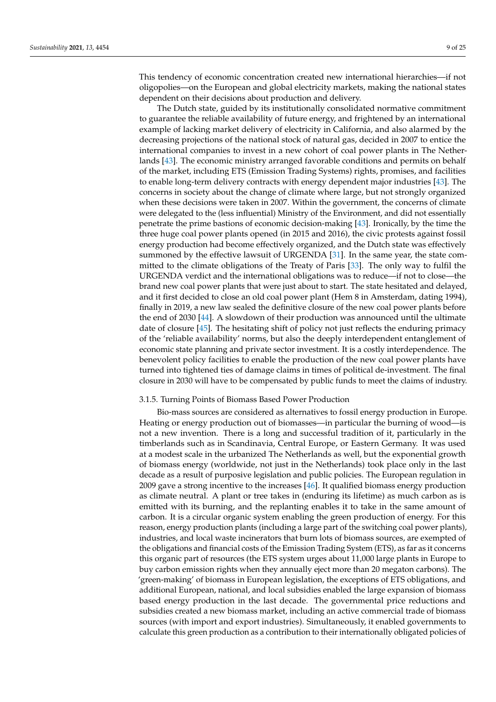This tendency of economic concentration created new international hierarchies—if not oligopolies—on the European and global electricity markets, making the national states dependent on their decisions about production and delivery.

The Dutch state, guided by its institutionally consolidated normative commitment to guarantee the reliable availability of future energy, and frightened by an international example of lacking market delivery of electricity in California, and also alarmed by the decreasing projections of the national stock of natural gas, decided in 2007 to entice the international companies to invest in a new cohort of coal power plants in The Netherlands [\[43\]](#page-24-16). The economic ministry arranged favorable conditions and permits on behalf of the market, including ETS (Emission Trading Systems) rights, promises, and facilities to enable long-term delivery contracts with energy dependent major industries [\[43\]](#page-24-16). The concerns in society about the change of climate where large, but not strongly organized when these decisions were taken in 2007. Within the government, the concerns of climate were delegated to the (less influential) Ministry of the Environment, and did not essentially penetrate the prime bastions of economic decision-making [\[43\]](#page-24-16). Ironically, by the time the three huge coal power plants opened (in 2015 and 2016), the civic protests against fossil energy production had become effectively organized, and the Dutch state was effectively summoned by the effective lawsuit of URGENDA [\[31\]](#page-24-4). In the same year, the state committed to the climate obligations of the Treaty of Paris [\[33\]](#page-24-6). The only way to fulfil the URGENDA verdict and the international obligations was to reduce—if not to close—the brand new coal power plants that were just about to start. The state hesitated and delayed, and it first decided to close an old coal power plant (Hem 8 in Amsterdam, dating 1994), finally in 2019, a new law sealed the definitive closure of the new coal power plants before the end of 2030 [\[44\]](#page-24-17). A slowdown of their production was announced until the ultimate date of closure [\[45\]](#page-24-18). The hesitating shift of policy not just reflects the enduring primacy of the 'reliable availability' norms, but also the deeply interdependent entanglement of economic state planning and private sector investment. It is a costly interdependence. The benevolent policy facilities to enable the production of the new coal power plants have turned into tightened ties of damage claims in times of political de-investment. The final closure in 2030 will have to be compensated by public funds to meet the claims of industry.

#### 3.1.5. Turning Points of Biomass Based Power Production

Bio-mass sources are considered as alternatives to fossil energy production in Europe. Heating or energy production out of biomasses—in particular the burning of wood—is not a new invention. There is a long and successful tradition of it, particularly in the timberlands such as in Scandinavia, Central Europe, or Eastern Germany. It was used at a modest scale in the urbanized The Netherlands as well, but the exponential growth of biomass energy (worldwide, not just in the Netherlands) took place only in the last decade as a result of purposive legislation and public policies. The European regulation in 2009 gave a strong incentive to the increases [\[46\]](#page-24-19). It qualified biomass energy production as climate neutral. A plant or tree takes in (enduring its lifetime) as much carbon as is emitted with its burning, and the replanting enables it to take in the same amount of carbon. It is a circular organic system enabling the green production of energy. For this reason, energy production plants (including a large part of the switching coal power plants), industries, and local waste incinerators that burn lots of biomass sources, are exempted of the obligations and financial costs of the Emission Trading System (ETS), as far as it concerns this organic part of resources (the ETS system urges about 11,000 large plants in Europe to buy carbon emission rights when they annually eject more than 20 megaton carbons). The 'green-making' of biomass in European legislation, the exceptions of ETS obligations, and additional European, national, and local subsidies enabled the large expansion of biomass based energy production in the last decade. The governmental price reductions and subsidies created a new biomass market, including an active commercial trade of biomass sources (with import and export industries). Simultaneously, it enabled governments to calculate this green production as a contribution to their internationally obligated policies of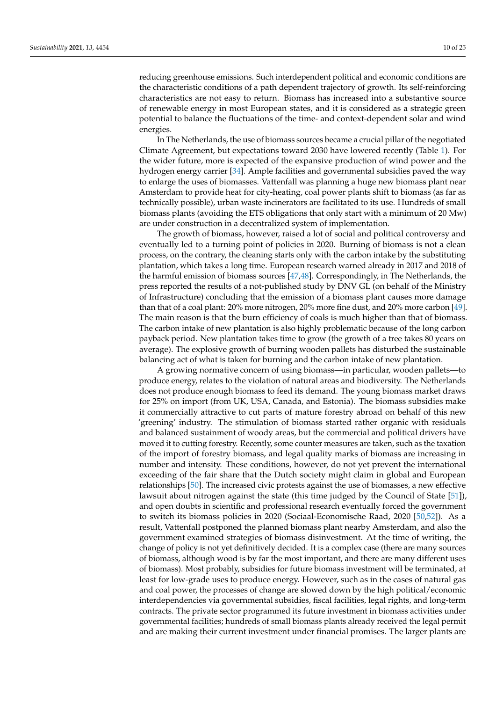reducing greenhouse emissions. Such interdependent political and economic conditions are the characteristic conditions of a path dependent trajectory of growth. Its self-reinforcing characteristics are not easy to return. Biomass has increased into a substantive source of renewable energy in most European states, and it is considered as a strategic green potential to balance the fluctuations of the time- and context-dependent solar and wind energies.

In The Netherlands, the use of biomass sources became a crucial pillar of the negotiated Climate Agreement, but expectations toward 2030 have lowered recently (Table [1\)](#page-7-0). For the wider future, more is expected of the expansive production of wind power and the hydrogen energy carrier [\[34\]](#page-24-7). Ample facilities and governmental subsidies paved the way to enlarge the uses of biomasses. Vattenfall was planning a huge new biomass plant near Amsterdam to provide heat for city-heating, coal power plants shift to biomass (as far as technically possible), urban waste incinerators are facilitated to its use. Hundreds of small biomass plants (avoiding the ETS obligations that only start with a minimum of 20 Mw) are under construction in a decentralized system of implementation.

The growth of biomass, however, raised a lot of social and political controversy and eventually led to a turning point of policies in 2020. Burning of biomass is not a clean process, on the contrary, the cleaning starts only with the carbon intake by the substituting plantation, which takes a long time. European research warned already in 2017 and 2018 of the harmful emission of biomass sources [\[47](#page-24-20)[,48\]](#page-24-21). Correspondingly, in The Netherlands, the press reported the results of a not-published study by DNV GL (on behalf of the Ministry of Infrastructure) concluding that the emission of a biomass plant causes more damage than that of a coal plant: 20% more nitrogen, 20% more fine dust, and 20% more carbon [\[49\]](#page-24-22). The main reason is that the burn efficiency of coals is much higher than that of biomass. The carbon intake of new plantation is also highly problematic because of the long carbon payback period. New plantation takes time to grow (the growth of a tree takes 80 years on average). The explosive growth of burning wooden pallets has disturbed the sustainable balancing act of what is taken for burning and the carbon intake of new plantation.

A growing normative concern of using biomass—in particular, wooden pallets—to produce energy, relates to the violation of natural areas and biodiversity. The Netherlands does not produce enough biomass to feed its demand. The young biomass market draws for 25% on import (from UK, USA, Canada, and Estonia). The biomass subsidies make it commercially attractive to cut parts of mature forestry abroad on behalf of this new 'greening' industry. The stimulation of biomass started rather organic with residuals and balanced sustainment of woody areas, but the commercial and political drivers have moved it to cutting forestry. Recently, some counter measures are taken, such as the taxation of the import of forestry biomass, and legal quality marks of biomass are increasing in number and intensity. These conditions, however, do not yet prevent the international exceeding of the fair share that the Dutch society might claim in global and European relationships [\[50\]](#page-24-23). The increased civic protests against the use of biomasses, a new effective lawsuit about nitrogen against the state (this time judged by the Council of State [\[51\]](#page-24-24)), and open doubts in scientific and professional research eventually forced the government to switch its biomass policies in 2020 (Sociaal-Economische Raad, 2020 [\[50,](#page-24-23)[52\]](#page-24-25)). As a result, Vattenfall postponed the planned biomass plant nearby Amsterdam, and also the government examined strategies of biomass disinvestment. At the time of writing, the change of policy is not yet definitively decided. It is a complex case (there are many sources of biomass, although wood is by far the most important, and there are many different uses of biomass). Most probably, subsidies for future biomass investment will be terminated, at least for low-grade uses to produce energy. However, such as in the cases of natural gas and coal power, the processes of change are slowed down by the high political/economic interdependencies via governmental subsidies, fiscal facilities, legal rights, and long-term contracts. The private sector programmed its future investment in biomass activities under governmental facilities; hundreds of small biomass plants already received the legal permit and are making their current investment under financial promises. The larger plants are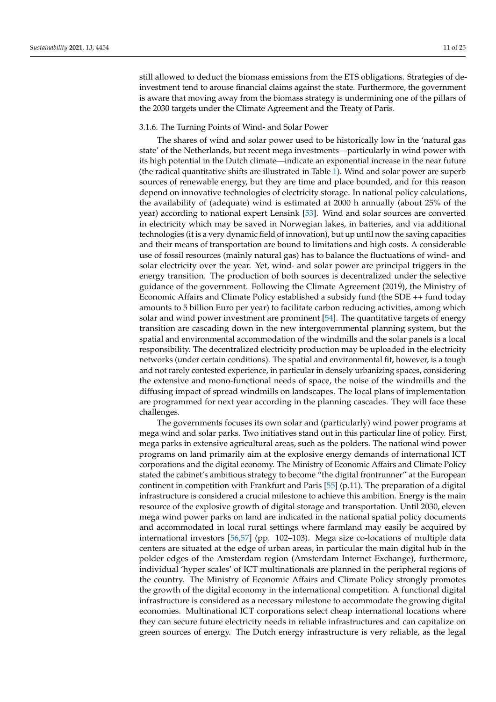still allowed to deduct the biomass emissions from the ETS obligations. Strategies of deinvestment tend to arouse financial claims against the state. Furthermore, the government is aware that moving away from the biomass strategy is undermining one of the pillars of the 2030 targets under the Climate Agreement and the Treaty of Paris.

#### 3.1.6. The Turning Points of Wind- and Solar Power

The shares of wind and solar power used to be historically low in the 'natural gas state' of the Netherlands, but recent mega investments—particularly in wind power with its high potential in the Dutch climate—indicate an exponential increase in the near future (the radical quantitative shifts are illustrated in Table [1\)](#page-7-0). Wind and solar power are superb sources of renewable energy, but they are time and place bounded, and for this reason depend on innovative technologies of electricity storage. In national policy calculations, the availability of (adequate) wind is estimated at 2000 h annually (about 25% of the year) according to national expert Lensink [\[53\]](#page-24-26). Wind and solar sources are converted in electricity which may be saved in Norwegian lakes, in batteries, and via additional technologies (it is a very dynamic field of innovation), but up until now the saving capacities and their means of transportation are bound to limitations and high costs. A considerable use of fossil resources (mainly natural gas) has to balance the fluctuations of wind- and solar electricity over the year. Yet, wind- and solar power are principal triggers in the energy transition. The production of both sources is decentralized under the selective guidance of the government. Following the Climate Agreement (2019), the Ministry of Economic Affairs and Climate Policy established a subsidy fund (the SDE ++ fund today amounts to 5 billion Euro per year) to facilitate carbon reducing activities, among which solar and wind power investment are prominent [\[54\]](#page-24-27). The quantitative targets of energy transition are cascading down in the new intergovernmental planning system, but the spatial and environmental accommodation of the windmills and the solar panels is a local responsibility. The decentralized electricity production may be uploaded in the electricity networks (under certain conditions). The spatial and environmental fit, however, is a tough and not rarely contested experience, in particular in densely urbanizing spaces, considering the extensive and mono-functional needs of space, the noise of the windmills and the diffusing impact of spread windmills on landscapes. The local plans of implementation are programmed for next year according in the planning cascades. They will face these challenges.

The governments focuses its own solar and (particularly) wind power programs at mega wind and solar parks. Two initiatives stand out in this particular line of policy. First, mega parks in extensive agricultural areas, such as the polders. The national wind power programs on land primarily aim at the explosive energy demands of international ICT corporations and the digital economy. The Ministry of Economic Affairs and Climate Policy stated the cabinet's ambitious strategy to become "the digital frontrunner" at the European continent in competition with Frankfurt and Paris [\[55\]](#page-25-0) (p.11). The preparation of a digital infrastructure is considered a crucial milestone to achieve this ambition. Energy is the main resource of the explosive growth of digital storage and transportation. Until 2030, eleven mega wind power parks on land are indicated in the national spatial policy documents and accommodated in local rural settings where farmland may easily be acquired by international investors [\[56,](#page-25-1)[57\]](#page-25-2) (pp. 102–103). Mega size co-locations of multiple data centers are situated at the edge of urban areas, in particular the main digital hub in the polder edges of the Amsterdam region (Amsterdam Internet Exchange), furthermore, individual 'hyper scales' of ICT multinationals are planned in the peripheral regions of the country. The Ministry of Economic Affairs and Climate Policy strongly promotes the growth of the digital economy in the international competition. A functional digital infrastructure is considered as a necessary milestone to accommodate the growing digital economies. Multinational ICT corporations select cheap international locations where they can secure future electricity needs in reliable infrastructures and can capitalize on green sources of energy. The Dutch energy infrastructure is very reliable, as the legal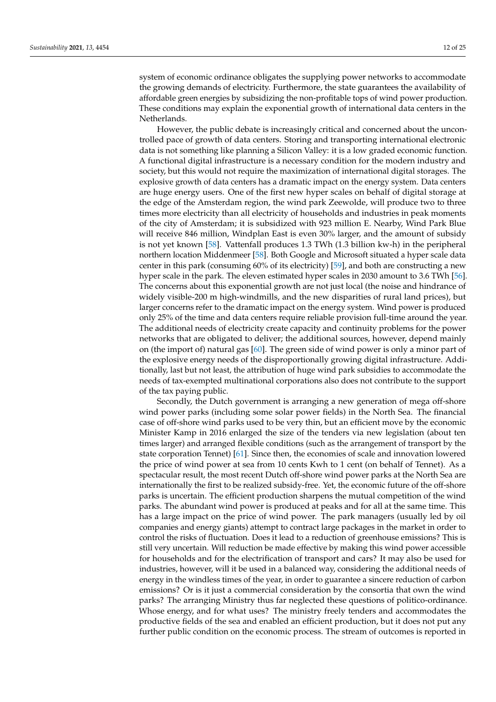system of economic ordinance obligates the supplying power networks to accommodate the growing demands of electricity. Furthermore, the state guarantees the availability of affordable green energies by subsidizing the non-profitable tops of wind power production. These conditions may explain the exponential growth of international data centers in the Netherlands.

However, the public debate is increasingly critical and concerned about the uncontrolled pace of growth of data centers. Storing and transporting international electronic data is not something like planning a Silicon Valley: it is a low graded economic function. A functional digital infrastructure is a necessary condition for the modern industry and society, but this would not require the maximization of international digital storages. The explosive growth of data centers has a dramatic impact on the energy system. Data centers are huge energy users. One of the first new hyper scales on behalf of digital storage at the edge of the Amsterdam region, the wind park Zeewolde, will produce two to three times more electricity than all electricity of households and industries in peak moments of the city of Amsterdam; it is subsidized with 923 million E. Nearby, Wind Park Blue will receive 846 million, Windplan East is even 30% larger, and the amount of subsidy is not yet known [\[58\]](#page-25-3). Vattenfall produces 1.3 TWh (1.3 billion kw-h) in the peripheral northern location Middenmeer [\[58\]](#page-25-3). Both Google and Microsoft situated a hyper scale data center in this park (consuming 60% of its electricity) [\[59\]](#page-25-4), and both are constructing a new hyper scale in the park. The eleven estimated hyper scales in 2030 amount to 3.6 TWh [\[56\]](#page-25-1). The concerns about this exponential growth are not just local (the noise and hindrance of widely visible-200 m high-windmills, and the new disparities of rural land prices), but larger concerns refer to the dramatic impact on the energy system. Wind power is produced only 25% of the time and data centers require reliable provision full-time around the year. The additional needs of electricity create capacity and continuity problems for the power networks that are obligated to deliver; the additional sources, however, depend mainly on (the import of) natural gas [\[60\]](#page-25-5). The green side of wind power is only a minor part of the explosive energy needs of the disproportionally growing digital infrastructure. Additionally, last but not least, the attribution of huge wind park subsidies to accommodate the needs of tax-exempted multinational corporations also does not contribute to the support of the tax paying public.

Secondly, the Dutch government is arranging a new generation of mega off-shore wind power parks (including some solar power fields) in the North Sea. The financial case of off-shore wind parks used to be very thin, but an efficient move by the economic Minister Kamp in 2016 enlarged the size of the tenders via new legislation (about ten times larger) and arranged flexible conditions (such as the arrangement of transport by the state corporation Tennet) [\[61\]](#page-25-6). Since then, the economies of scale and innovation lowered the price of wind power at sea from 10 cents Kwh to 1 cent (on behalf of Tennet). As a spectacular result, the most recent Dutch off-shore wind power parks at the North Sea are internationally the first to be realized subsidy-free. Yet, the economic future of the off-shore parks is uncertain. The efficient production sharpens the mutual competition of the wind parks. The abundant wind power is produced at peaks and for all at the same time. This has a large impact on the price of wind power. The park managers (usually led by oil companies and energy giants) attempt to contract large packages in the market in order to control the risks of fluctuation. Does it lead to a reduction of greenhouse emissions? This is still very uncertain. Will reduction be made effective by making this wind power accessible for households and for the electrification of transport and cars? It may also be used for industries, however, will it be used in a balanced way, considering the additional needs of energy in the windless times of the year, in order to guarantee a sincere reduction of carbon emissions? Or is it just a commercial consideration by the consortia that own the wind parks? The arranging Ministry thus far neglected these questions of politico-ordinance. Whose energy, and for what uses? The ministry freely tenders and accommodates the productive fields of the sea and enabled an efficient production, but it does not put any further public condition on the economic process. The stream of outcomes is reported in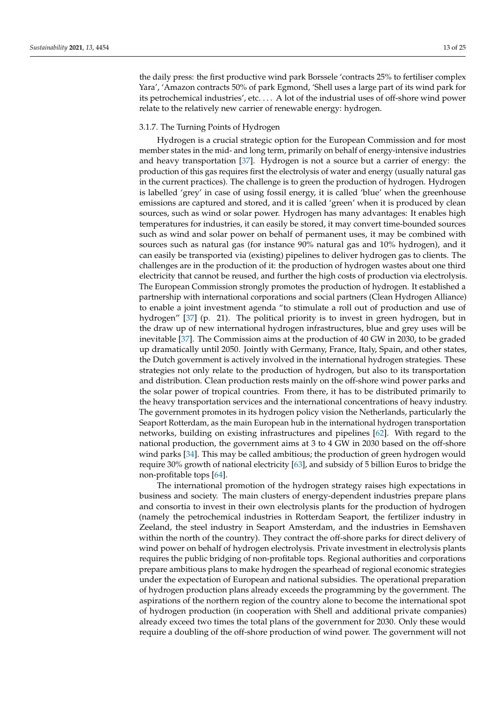the daily press: the first productive wind park Borssele 'contracts 25% to fertiliser complex Yara', 'Amazon contracts 50% of park Egmond, 'Shell uses a large part of its wind park for its petrochemical industries', etc. . . . A lot of the industrial uses of off-shore wind power relate to the relatively new carrier of renewable energy: hydrogen.

#### 3.1.7. The Turning Points of Hydrogen

Hydrogen is a crucial strategic option for the European Commission and for most member states in the mid- and long term, primarily on behalf of energy-intensive industries and heavy transportation [\[37\]](#page-24-10). Hydrogen is not a source but a carrier of energy: the production of this gas requires first the electrolysis of water and energy (usually natural gas in the current practices). The challenge is to green the production of hydrogen. Hydrogen is labelled 'grey' in case of using fossil energy, it is called 'blue' when the greenhouse emissions are captured and stored, and it is called 'green' when it is produced by clean sources, such as wind or solar power. Hydrogen has many advantages: It enables high temperatures for industries, it can easily be stored, it may convert time-bounded sources such as wind and solar power on behalf of permanent uses, it may be combined with sources such as natural gas (for instance 90% natural gas and 10% hydrogen), and it can easily be transported via (existing) pipelines to deliver hydrogen gas to clients. The challenges are in the production of it: the production of hydrogen wastes about one third electricity that cannot be reused, and further the high costs of production via electrolysis. The European Commission strongly promotes the production of hydrogen. It established a partnership with international corporations and social partners (Clean Hydrogen Alliance) to enable a joint investment agenda "to stimulate a roll out of production and use of hydrogen" [\[37\]](#page-24-10) (p. 21). The political priority is to invest in green hydrogen, but in the draw up of new international hydrogen infrastructures, blue and grey uses will be inevitable [\[37\]](#page-24-10). The Commission aims at the production of 40 GW in 2030, to be graded up dramatically until 2050. Jointly with Germany, France, Italy, Spain, and other states, the Dutch government is actively involved in the international hydrogen strategies. These strategies not only relate to the production of hydrogen, but also to its transportation and distribution. Clean production rests mainly on the off-shore wind power parks and the solar power of tropical countries. From there, it has to be distributed primarily to the heavy transportation services and the international concentrations of heavy industry. The government promotes in its hydrogen policy vision the Netherlands, particularly the Seaport Rotterdam, as the main European hub in the international hydrogen transportation networks, building on existing infrastructures and pipelines [\[62\]](#page-25-7). With regard to the national production, the government aims at 3 to 4 GW in 2030 based on the off-shore wind parks [\[34\]](#page-24-7). This may be called ambitious; the production of green hydrogen would require 30% growth of national electricity [\[63\]](#page-25-8), and subsidy of 5 billion Euros to bridge the non-profitable tops [\[64\]](#page-25-9).

The international promotion of the hydrogen strategy raises high expectations in business and society. The main clusters of energy-dependent industries prepare plans and consortia to invest in their own electrolysis plants for the production of hydrogen (namely the petrochemical industries in Rotterdam Seaport, the fertilizer industry in Zeeland, the steel industry in Seaport Amsterdam, and the industries in Eemshaven within the north of the country). They contract the off-shore parks for direct delivery of wind power on behalf of hydrogen electrolysis. Private investment in electrolysis plants requires the public bridging of non-profitable tops. Regional authorities and corporations prepare ambitious plans to make hydrogen the spearhead of regional economic strategies under the expectation of European and national subsidies. The operational preparation of hydrogen production plans already exceeds the programming by the government. The aspirations of the northern region of the country alone to become the international spot of hydrogen production (in cooperation with Shell and additional private companies) already exceed two times the total plans of the government for 2030. Only these would require a doubling of the off-shore production of wind power. The government will not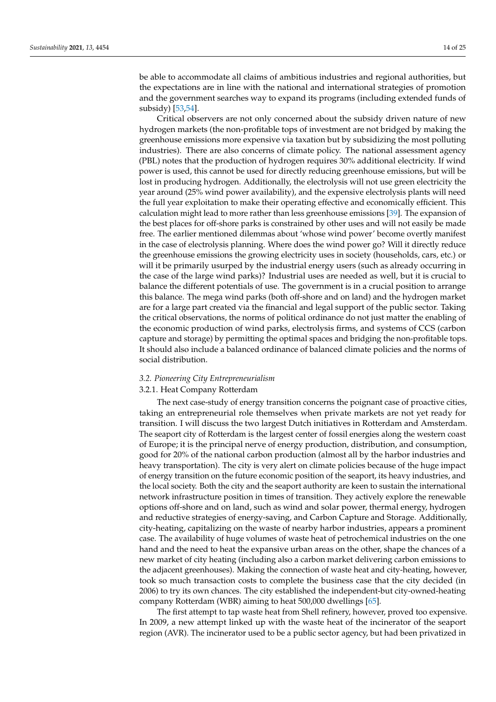be able to accommodate all claims of ambitious industries and regional authorities, but the expectations are in line with the national and international strategies of promotion and the government searches way to expand its programs (including extended funds of subsidy) [\[53](#page-24-26)[,54\]](#page-24-27).

Critical observers are not only concerned about the subsidy driven nature of new hydrogen markets (the non-profitable tops of investment are not bridged by making the greenhouse emissions more expensive via taxation but by subsidizing the most polluting industries). There are also concerns of climate policy. The national assessment agency (PBL) notes that the production of hydrogen requires 30% additional electricity. If wind power is used, this cannot be used for directly reducing greenhouse emissions, but will be lost in producing hydrogen. Additionally, the electrolysis will not use green electricity the year around (25% wind power availability), and the expensive electrolysis plants will need the full year exploitation to make their operating effective and economically efficient. This calculation might lead to more rather than less greenhouse emissions [\[39\]](#page-24-12). The expansion of the best places for off-shore parks is constrained by other uses and will not easily be made free. The earlier mentioned dilemmas about 'whose wind power' become overtly manifest in the case of electrolysis planning. Where does the wind power go? Will it directly reduce the greenhouse emissions the growing electricity uses in society (households, cars, etc.) or will it be primarily usurped by the industrial energy users (such as already occurring in the case of the large wind parks)? Industrial uses are needed as well, but it is crucial to balance the different potentials of use. The government is in a crucial position to arrange this balance. The mega wind parks (both off-shore and on land) and the hydrogen market are for a large part created via the financial and legal support of the public sector. Taking the critical observations, the norms of political ordinance do not just matter the enabling of the economic production of wind parks, electrolysis firms, and systems of CCS (carbon capture and storage) by permitting the optimal spaces and bridging the non-profitable tops. It should also include a balanced ordinance of balanced climate policies and the norms of social distribution.

#### *3.2. Pioneering City Entrepreneurialism*

#### 3.2.1. Heat Company Rotterdam

The next case-study of energy transition concerns the poignant case of proactive cities, taking an entrepreneurial role themselves when private markets are not yet ready for transition. I will discuss the two largest Dutch initiatives in Rotterdam and Amsterdam. The seaport city of Rotterdam is the largest center of fossil energies along the western coast of Europe; it is the principal nerve of energy production, distribution, and consumption, good for 20% of the national carbon production (almost all by the harbor industries and heavy transportation). The city is very alert on climate policies because of the huge impact of energy transition on the future economic position of the seaport, its heavy industries, and the local society. Both the city and the seaport authority are keen to sustain the international network infrastructure position in times of transition. They actively explore the renewable options off-shore and on land, such as wind and solar power, thermal energy, hydrogen and reductive strategies of energy-saving, and Carbon Capture and Storage. Additionally, city-heating, capitalizing on the waste of nearby harbor industries, appears a prominent case. The availability of huge volumes of waste heat of petrochemical industries on the one hand and the need to heat the expansive urban areas on the other, shape the chances of a new market of city heating (including also a carbon market delivering carbon emissions to the adjacent greenhouses). Making the connection of waste heat and city-heating, however, took so much transaction costs to complete the business case that the city decided (in 2006) to try its own chances. The city established the independent-but city-owned-heating company Rotterdam (WBR) aiming to heat 500,000 dwellings [\[65\]](#page-25-10).

The first attempt to tap waste heat from Shell refinery, however, proved too expensive. In 2009, a new attempt linked up with the waste heat of the incinerator of the seaport region (AVR). The incinerator used to be a public sector agency, but had been privatized in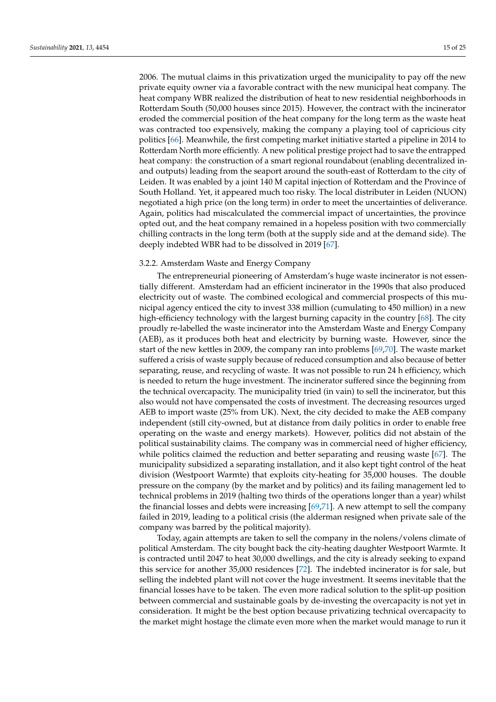2006. The mutual claims in this privatization urged the municipality to pay off the new private equity owner via a favorable contract with the new municipal heat company. The heat company WBR realized the distribution of heat to new residential neighborhoods in Rotterdam South (50,000 houses since 2015). However, the contract with the incinerator eroded the commercial position of the heat company for the long term as the waste heat was contracted too expensively, making the company a playing tool of capricious city politics [\[66\]](#page-25-11). Meanwhile, the first competing market initiative started a pipeline in 2014 to Rotterdam North more efficiently. A new political prestige project had to save the entrapped heat company: the construction of a smart regional roundabout (enabling decentralized inand outputs) leading from the seaport around the south-east of Rotterdam to the city of Leiden. It was enabled by a joint 140 M capital injection of Rotterdam and the Province of South Holland. Yet, it appeared much too risky. The local distributer in Leiden (NUON) negotiated a high price (on the long term) in order to meet the uncertainties of deliverance. Again, politics had miscalculated the commercial impact of uncertainties, the province opted out, and the heat company remained in a hopeless position with two commercially chilling contracts in the long term (both at the supply side and at the demand side). The deeply indebted WBR had to be dissolved in 2019 [\[67\]](#page-25-12).

### 3.2.2. Amsterdam Waste and Energy Company

The entrepreneurial pioneering of Amsterdam's huge waste incinerator is not essentially different. Amsterdam had an efficient incinerator in the 1990s that also produced electricity out of waste. The combined ecological and commercial prospects of this municipal agency enticed the city to invest 338 million (cumulating to 450 million) in a new high-efficiency technology with the largest burning capacity in the country [\[68\]](#page-25-13). The city proudly re-labelled the waste incinerator into the Amsterdam Waste and Energy Company (AEB), as it produces both heat and electricity by burning waste. However, since the start of the new kettles in 2009, the company ran into problems [\[69](#page-25-14)[,70\]](#page-25-15). The waste market suffered a crisis of waste supply because of reduced consumption and also because of better separating, reuse, and recycling of waste. It was not possible to run 24 h efficiency, which is needed to return the huge investment. The incinerator suffered since the beginning from the technical overcapacity. The municipality tried (in vain) to sell the incinerator, but this also would not have compensated the costs of investment. The decreasing resources urged AEB to import waste (25% from UK). Next, the city decided to make the AEB company independent (still city-owned, but at distance from daily politics in order to enable free operating on the waste and energy markets). However, politics did not abstain of the political sustainability claims. The company was in commercial need of higher efficiency, while politics claimed the reduction and better separating and reusing waste [\[67\]](#page-25-12). The municipality subsidized a separating installation, and it also kept tight control of the heat division (Westpoort Warmte) that exploits city-heating for 35,000 houses. The double pressure on the company (by the market and by politics) and its failing management led to technical problems in 2019 (halting two thirds of the operations longer than a year) whilst the financial losses and debts were increasing  $[69,71]$  $[69,71]$ . A new attempt to sell the company failed in 2019, leading to a political crisis (the alderman resigned when private sale of the company was barred by the political majority).

Today, again attempts are taken to sell the company in the nolens/volens climate of political Amsterdam. The city bought back the city-heating daughter Westpoort Warmte. It is contracted until 2047 to heat 30,000 dwellings, and the city is already seeking to expand this service for another 35,000 residences [\[72\]](#page-25-17). The indebted incinerator is for sale, but selling the indebted plant will not cover the huge investment. It seems inevitable that the financial losses have to be taken. The even more radical solution to the split-up position between commercial and sustainable goals by de-investing the overcapacity is not yet in consideration. It might be the best option because privatizing technical overcapacity to the market might hostage the climate even more when the market would manage to run it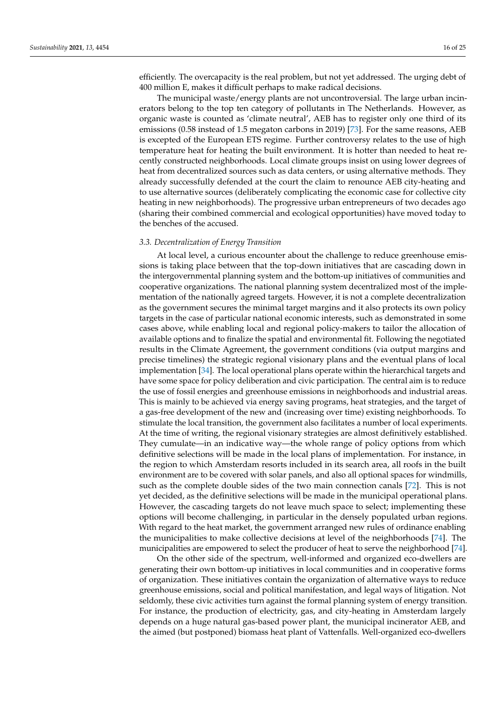efficiently. The overcapacity is the real problem, but not yet addressed. The urging debt of 400 million E, makes it difficult perhaps to make radical decisions.

The municipal waste/energy plants are not uncontroversial. The large urban incinerators belong to the top ten category of pollutants in The Netherlands. However, as organic waste is counted as 'climate neutral', AEB has to register only one third of its emissions (0.58 instead of 1.5 megaton carbons in 2019) [\[73\]](#page-25-18). For the same reasons, AEB is excepted of the European ETS regime. Further controversy relates to the use of high temperature heat for heating the built environment. It is hotter than needed to heat recently constructed neighborhoods. Local climate groups insist on using lower degrees of heat from decentralized sources such as data centers, or using alternative methods. They already successfully defended at the court the claim to renounce AEB city-heating and to use alternative sources (deliberately complicating the economic case for collective city heating in new neighborhoods). The progressive urban entrepreneurs of two decades ago (sharing their combined commercial and ecological opportunities) have moved today to the benches of the accused.

#### *3.3. Decentralization of Energy Transition*

At local level, a curious encounter about the challenge to reduce greenhouse emissions is taking place between that the top-down initiatives that are cascading down in the intergovernmental planning system and the bottom-up initiatives of communities and cooperative organizations. The national planning system decentralized most of the implementation of the nationally agreed targets. However, it is not a complete decentralization as the government secures the minimal target margins and it also protects its own policy targets in the case of particular national economic interests, such as demonstrated in some cases above, while enabling local and regional policy-makers to tailor the allocation of available options and to finalize the spatial and environmental fit. Following the negotiated results in the Climate Agreement, the government conditions (via output margins and precise timelines) the strategic regional visionary plans and the eventual plans of local implementation [\[34\]](#page-24-7). The local operational plans operate within the hierarchical targets and have some space for policy deliberation and civic participation. The central aim is to reduce the use of fossil energies and greenhouse emissions in neighborhoods and industrial areas. This is mainly to be achieved via energy saving programs, heat strategies, and the target of a gas-free development of the new and (increasing over time) existing neighborhoods. To stimulate the local transition, the government also facilitates a number of local experiments. At the time of writing, the regional visionary strategies are almost definitively established. They cumulate—in an indicative way—the whole range of policy options from which definitive selections will be made in the local plans of implementation. For instance, in the region to which Amsterdam resorts included in its search area, all roofs in the built environment are to be covered with solar panels, and also all optional spaces for windmills, such as the complete double sides of the two main connection canals [\[72\]](#page-25-17). This is not yet decided, as the definitive selections will be made in the municipal operational plans. However, the cascading targets do not leave much space to select; implementing these options will become challenging, in particular in the densely populated urban regions. With regard to the heat market, the government arranged new rules of ordinance enabling the municipalities to make collective decisions at level of the neighborhoods [\[74\]](#page-25-19). The municipalities are empowered to select the producer of heat to serve the neighborhood [\[74\]](#page-25-19).

On the other side of the spectrum, well-informed and organized eco-dwellers are generating their own bottom-up initiatives in local communities and in cooperative forms of organization. These initiatives contain the organization of alternative ways to reduce greenhouse emissions, social and political manifestation, and legal ways of litigation. Not seldomly, these civic activities turn against the formal planning system of energy transition. For instance, the production of electricity, gas, and city-heating in Amsterdam largely depends on a huge natural gas-based power plant, the municipal incinerator AEB, and the aimed (but postponed) biomass heat plant of Vattenfalls. Well-organized eco-dwellers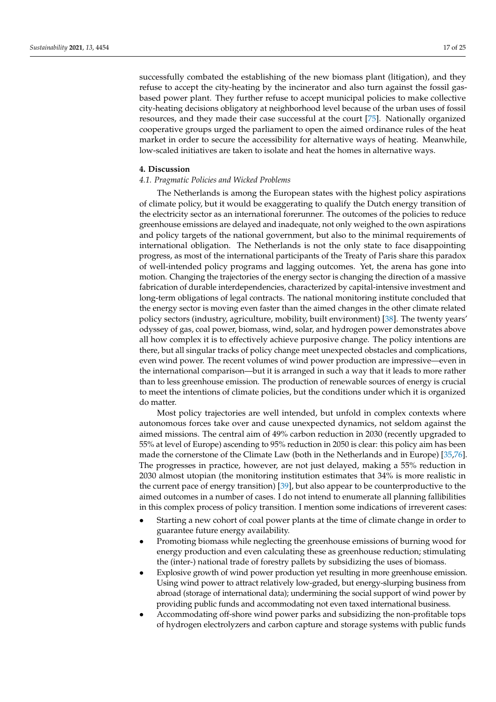successfully combated the establishing of the new biomass plant (litigation), and they refuse to accept the city-heating by the incinerator and also turn against the fossil gasbased power plant. They further refuse to accept municipal policies to make collective city-heating decisions obligatory at neighborhood level because of the urban uses of fossil resources, and they made their case successful at the court [\[75\]](#page-25-20). Nationally organized cooperative groups urged the parliament to open the aimed ordinance rules of the heat market in order to secure the accessibility for alternative ways of heating. Meanwhile, low-scaled initiatives are taken to isolate and heat the homes in alternative ways.

#### **4. Discussion**

#### *4.1. Pragmatic Policies and Wicked Problems*

The Netherlands is among the European states with the highest policy aspirations of climate policy, but it would be exaggerating to qualify the Dutch energy transition of the electricity sector as an international forerunner. The outcomes of the policies to reduce greenhouse emissions are delayed and inadequate, not only weighed to the own aspirations and policy targets of the national government, but also to the minimal requirements of international obligation. The Netherlands is not the only state to face disappointing progress, as most of the international participants of the Treaty of Paris share this paradox of well-intended policy programs and lagging outcomes. Yet, the arena has gone into motion. Changing the trajectories of the energy sector is changing the direction of a massive fabrication of durable interdependencies, characterized by capital-intensive investment and long-term obligations of legal contracts. The national monitoring institute concluded that the energy sector is moving even faster than the aimed changes in the other climate related policy sectors (industry, agriculture, mobility, built environment) [\[38\]](#page-24-11). The twenty years' odyssey of gas, coal power, biomass, wind, solar, and hydrogen power demonstrates above all how complex it is to effectively achieve purposive change. The policy intentions are there, but all singular tracks of policy change meet unexpected obstacles and complications, even wind power. The recent volumes of wind power production are impressive—even in the international comparison—but it is arranged in such a way that it leads to more rather than to less greenhouse emission. The production of renewable sources of energy is crucial to meet the intentions of climate policies, but the conditions under which it is organized do matter.

Most policy trajectories are well intended, but unfold in complex contexts where autonomous forces take over and cause unexpected dynamics, not seldom against the aimed missions. The central aim of 49% carbon reduction in 2030 (recently upgraded to 55% at level of Europe) ascending to 95% reduction in 2050 is clear: this policy aim has been made the cornerstone of the Climate Law (both in the Netherlands and in Europe) [\[35](#page-24-8)[,76\]](#page-25-21). The progresses in practice, however, are not just delayed, making a 55% reduction in 2030 almost utopian (the monitoring institution estimates that 34% is more realistic in the current pace of energy transition) [\[39\]](#page-24-12), but also appear to be counterproductive to the aimed outcomes in a number of cases. I do not intend to enumerate all planning fallibilities in this complex process of policy transition. I mention some indications of irreverent cases:

- Starting a new cohort of coal power plants at the time of climate change in order to guarantee future energy availability.
- Promoting biomass while neglecting the greenhouse emissions of burning wood for energy production and even calculating these as greenhouse reduction; stimulating the (inter-) national trade of forestry pallets by subsidizing the uses of biomass.
- Explosive growth of wind power production yet resulting in more greenhouse emission. Using wind power to attract relatively low-graded, but energy-slurping business from abroad (storage of international data); undermining the social support of wind power by providing public funds and accommodating not even taxed international business.
- Accommodating off-shore wind power parks and subsidizing the non-profitable tops of hydrogen electrolyzers and carbon capture and storage systems with public funds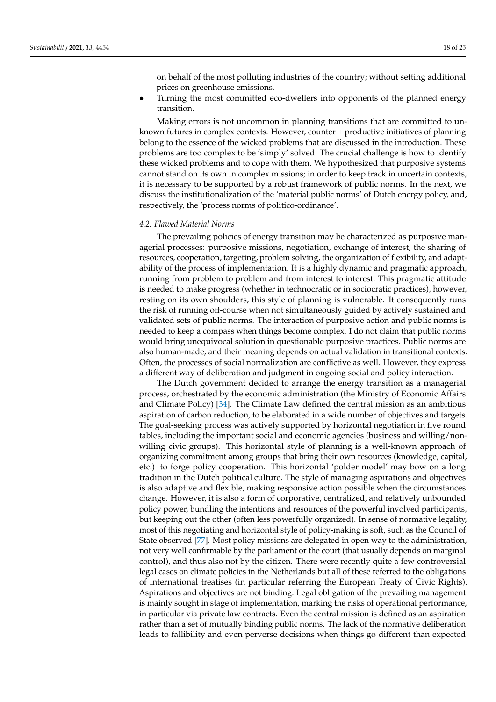on behalf of the most polluting industries of the country; without setting additional prices on greenhouse emissions.

• Turning the most committed eco-dwellers into opponents of the planned energy transition.

Making errors is not uncommon in planning transitions that are committed to unknown futures in complex contexts. However, counter + productive initiatives of planning belong to the essence of the wicked problems that are discussed in the introduction. These problems are too complex to be 'simply' solved. The crucial challenge is how to identify these wicked problems and to cope with them. We hypothesized that purposive systems cannot stand on its own in complex missions; in order to keep track in uncertain contexts, it is necessary to be supported by a robust framework of public norms. In the next, we discuss the institutionalization of the 'material public norms' of Dutch energy policy, and, respectively, the 'process norms of politico-ordinance'.

#### *4.2. Flawed Material Norms*

The prevailing policies of energy transition may be characterized as purposive managerial processes: purposive missions, negotiation, exchange of interest, the sharing of resources, cooperation, targeting, problem solving, the organization of flexibility, and adaptability of the process of implementation. It is a highly dynamic and pragmatic approach, running from problem to problem and from interest to interest. This pragmatic attitude is needed to make progress (whether in technocratic or in sociocratic practices), however, resting on its own shoulders, this style of planning is vulnerable. It consequently runs the risk of running off-course when not simultaneously guided by actively sustained and validated sets of public norms. The interaction of purposive action and public norms is needed to keep a compass when things become complex. I do not claim that public norms would bring unequivocal solution in questionable purposive practices. Public norms are also human-made, and their meaning depends on actual validation in transitional contexts. Often, the processes of social normalization are conflictive as well. However, they express a different way of deliberation and judgment in ongoing social and policy interaction.

The Dutch government decided to arrange the energy transition as a managerial process, orchestrated by the economic administration (the Ministry of Economic Affairs and Climate Policy) [\[34\]](#page-24-7). The Climate Law defined the central mission as an ambitious aspiration of carbon reduction, to be elaborated in a wide number of objectives and targets. The goal-seeking process was actively supported by horizontal negotiation in five round tables, including the important social and economic agencies (business and willing/nonwilling civic groups). This horizontal style of planning is a well-known approach of organizing commitment among groups that bring their own resources (knowledge, capital, etc.) to forge policy cooperation. This horizontal 'polder model' may bow on a long tradition in the Dutch political culture. The style of managing aspirations and objectives is also adaptive and flexible, making responsive action possible when the circumstances change. However, it is also a form of corporative, centralized, and relatively unbounded policy power, bundling the intentions and resources of the powerful involved participants, but keeping out the other (often less powerfully organized). In sense of normative legality, most of this negotiating and horizontal style of policy-making is soft, such as the Council of State observed [\[77\]](#page-25-22). Most policy missions are delegated in open way to the administration, not very well confirmable by the parliament or the court (that usually depends on marginal control), and thus also not by the citizen. There were recently quite a few controversial legal cases on climate policies in the Netherlands but all of these referred to the obligations of international treatises (in particular referring the European Treaty of Civic Rights). Aspirations and objectives are not binding. Legal obligation of the prevailing management is mainly sought in stage of implementation, marking the risks of operational performance, in particular via private law contracts. Even the central mission is defined as an aspiration rather than a set of mutually binding public norms. The lack of the normative deliberation leads to fallibility and even perverse decisions when things go different than expected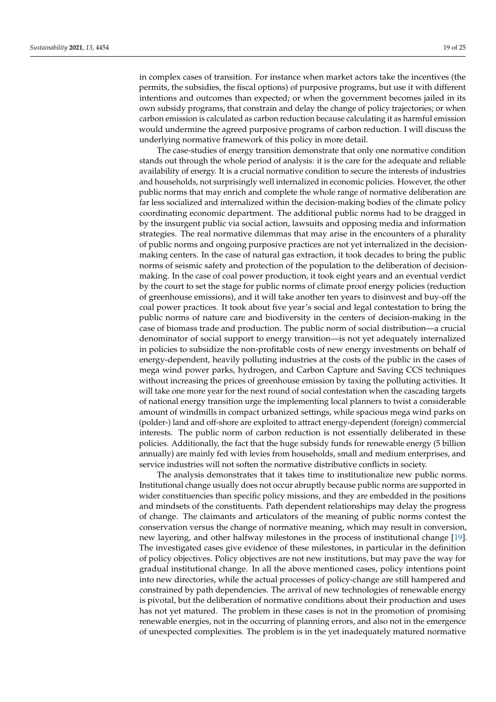in complex cases of transition. For instance when market actors take the incentives (the permits, the subsidies, the fiscal options) of purposive programs, but use it with different intentions and outcomes than expected; or when the government becomes jailed in its own subsidy programs, that constrain and delay the change of policy trajectories; or when carbon emission is calculated as carbon reduction because calculating it as harmful emission would undermine the agreed purposive programs of carbon reduction. I will discuss the underlying normative framework of this policy in more detail.

The case-studies of energy transition demonstrate that only one normative condition stands out through the whole period of analysis: it is the care for the adequate and reliable availability of energy. It is a crucial normative condition to secure the interests of industries and households, not surprisingly well internalized in economic policies. However, the other public norms that may enrich and complete the whole range of normative deliberation are far less socialized and internalized within the decision-making bodies of the climate policy coordinating economic department. The additional public norms had to be dragged in by the insurgent public via social action, lawsuits and opposing media and information strategies. The real normative dilemmas that may arise in the encounters of a plurality of public norms and ongoing purposive practices are not yet internalized in the decisionmaking centers. In the case of natural gas extraction, it took decades to bring the public norms of seismic safety and protection of the population to the deliberation of decisionmaking. In the case of coal power production, it took eight years and an eventual verdict by the court to set the stage for public norms of climate proof energy policies (reduction of greenhouse emissions), and it will take another ten years to disinvest and buy-off the coal power practices. It took about five year's social and legal contestation to bring the public norms of nature care and biodiversity in the centers of decision-making in the case of biomass trade and production. The public norm of social distribution—a crucial denominator of social support to energy transition—is not yet adequately internalized in policies to subsidize the non-profitable costs of new energy investments on behalf of energy-dependent, heavily polluting industries at the costs of the public in the cases of mega wind power parks, hydrogen, and Carbon Capture and Saving CCS techniques without increasing the prices of greenhouse emission by taxing the polluting activities. It will take one more year for the next round of social contestation when the cascading targets of national energy transition urge the implementing local planners to twist a considerable amount of windmills in compact urbanized settings, while spacious mega wind parks on (polder-) land and off-shore are exploited to attract energy-dependent (foreign) commercial interests. The public norm of carbon reduction is not essentially deliberated in these policies. Additionally, the fact that the huge subsidy funds for renewable energy (5 billion annually) are mainly fed with levies from households, small and medium enterprises, and service industries will not soften the normative distributive conflicts in society.

The analysis demonstrates that it takes time to institutionalize new public norms. Institutional change usually does not occur abruptly because public norms are supported in wider constituencies than specific policy missions, and they are embedded in the positions and mindsets of the constituents. Path dependent relationships may delay the progress of change. The claimants and articulators of the meaning of public norms contest the conservation versus the change of normative meaning, which may result in conversion, new layering, and other halfway milestones in the process of institutional change [\[19\]](#page-23-17). The investigated cases give evidence of these milestones, in particular in the definition of policy objectives. Policy objectives are not new institutions, but may pave the way for gradual institutional change. In all the above mentioned cases, policy intentions point into new directories, while the actual processes of policy-change are still hampered and constrained by path dependencies. The arrival of new technologies of renewable energy is pivotal, but the deliberation of normative conditions about their production and uses has not yet matured. The problem in these cases is not in the promotion of promising renewable energies, not in the occurring of planning errors, and also not in the emergence of unexpected complexities. The problem is in the yet inadequately matured normative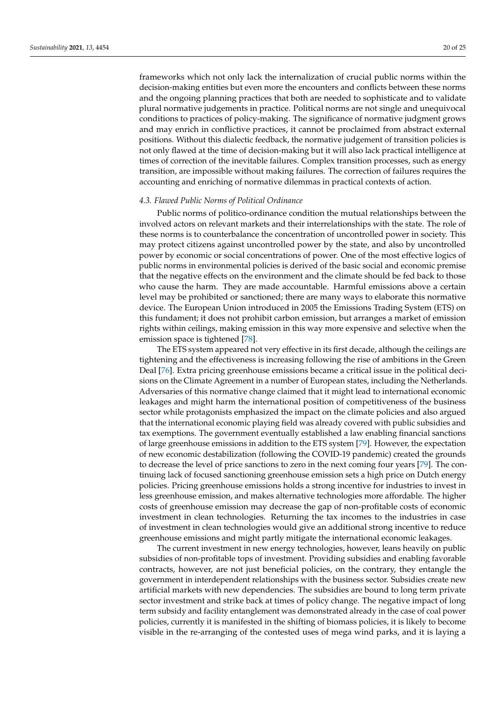frameworks which not only lack the internalization of crucial public norms within the decision-making entities but even more the encounters and conflicts between these norms and the ongoing planning practices that both are needed to sophisticate and to validate plural normative judgements in practice. Political norms are not single and unequivocal conditions to practices of policy-making. The significance of normative judgment grows and may enrich in conflictive practices, it cannot be proclaimed from abstract external positions. Without this dialectic feedback, the normative judgement of transition policies is not only flawed at the time of decision-making but it will also lack practical intelligence at times of correction of the inevitable failures. Complex transition processes, such as energy transition, are impossible without making failures. The correction of failures requires the accounting and enriching of normative dilemmas in practical contexts of action.

#### *4.3. Flawed Public Norms of Political Ordinance*

Public norms of politico-ordinance condition the mutual relationships between the involved actors on relevant markets and their interrelationships with the state. The role of these norms is to counterbalance the concentration of uncontrolled power in society. This may protect citizens against uncontrolled power by the state, and also by uncontrolled power by economic or social concentrations of power. One of the most effective logics of public norms in environmental policies is derived of the basic social and economic premise that the negative effects on the environment and the climate should be fed back to those who cause the harm. They are made accountable. Harmful emissions above a certain level may be prohibited or sanctioned; there are many ways to elaborate this normative device. The European Union introduced in 2005 the Emissions Trading System (ETS) on this fundament; it does not prohibit carbon emission, but arranges a market of emission rights within ceilings, making emission in this way more expensive and selective when the emission space is tightened [\[78\]](#page-25-23).

The ETS system appeared not very effective in its first decade, although the ceilings are tightening and the effectiveness is increasing following the rise of ambitions in the Green Deal [\[76\]](#page-25-21). Extra pricing greenhouse emissions became a critical issue in the political decisions on the Climate Agreement in a number of European states, including the Netherlands. Adversaries of this normative change claimed that it might lead to international economic leakages and might harm the international position of competitiveness of the business sector while protagonists emphasized the impact on the climate policies and also argued that the international economic playing field was already covered with public subsidies and tax exemptions. The government eventually established a law enabling financial sanctions of large greenhouse emissions in addition to the ETS system [\[79\]](#page-25-24). However, the expectation of new economic destabilization (following the COVID-19 pandemic) created the grounds to decrease the level of price sanctions to zero in the next coming four years [\[79\]](#page-25-24). The continuing lack of focused sanctioning greenhouse emission sets a high price on Dutch energy policies. Pricing greenhouse emissions holds a strong incentive for industries to invest in less greenhouse emission, and makes alternative technologies more affordable. The higher costs of greenhouse emission may decrease the gap of non-profitable costs of economic investment in clean technologies. Returning the tax incomes to the industries in case of investment in clean technologies would give an additional strong incentive to reduce greenhouse emissions and might partly mitigate the international economic leakages.

The current investment in new energy technologies, however, leans heavily on public subsidies of non-profitable tops of investment. Providing subsidies and enabling favorable contracts, however, are not just beneficial policies, on the contrary, they entangle the government in interdependent relationships with the business sector. Subsidies create new artificial markets with new dependencies. The subsidies are bound to long term private sector investment and strike back at times of policy change. The negative impact of long term subsidy and facility entanglement was demonstrated already in the case of coal power policies, currently it is manifested in the shifting of biomass policies, it is likely to become visible in the re-arranging of the contested uses of mega wind parks, and it is laying a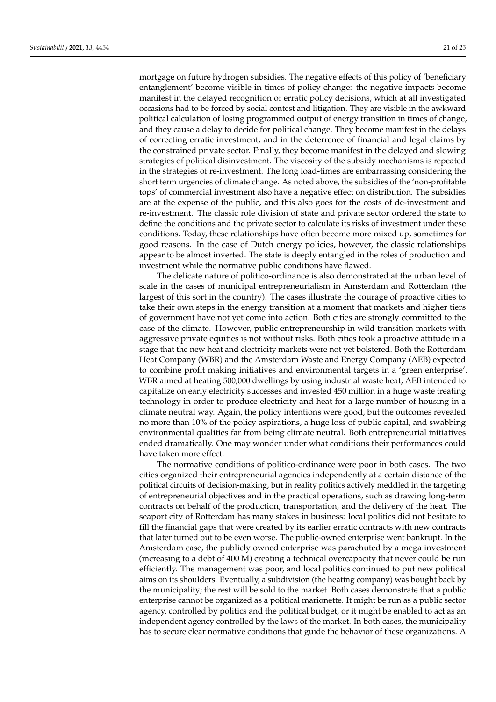mortgage on future hydrogen subsidies. The negative effects of this policy of 'beneficiary entanglement' become visible in times of policy change: the negative impacts become manifest in the delayed recognition of erratic policy decisions, which at all investigated occasions had to be forced by social contest and litigation. They are visible in the awkward political calculation of losing programmed output of energy transition in times of change, and they cause a delay to decide for political change. They become manifest in the delays of correcting erratic investment, and in the deterrence of financial and legal claims by the constrained private sector. Finally, they become manifest in the delayed and slowing strategies of political disinvestment. The viscosity of the subsidy mechanisms is repeated in the strategies of re-investment. The long load-times are embarrassing considering the short term urgencies of climate change. As noted above, the subsidies of the 'non-profitable tops' of commercial investment also have a negative effect on distribution. The subsidies are at the expense of the public, and this also goes for the costs of de-investment and re-investment. The classic role division of state and private sector ordered the state to define the conditions and the private sector to calculate its risks of investment under these conditions. Today, these relationships have often become more mixed up, sometimes for good reasons. In the case of Dutch energy policies, however, the classic relationships appear to be almost inverted. The state is deeply entangled in the roles of production and investment while the normative public conditions have flawed.

The delicate nature of politico-ordinance is also demonstrated at the urban level of scale in the cases of municipal entrepreneurialism in Amsterdam and Rotterdam (the largest of this sort in the country). The cases illustrate the courage of proactive cities to take their own steps in the energy transition at a moment that markets and higher tiers of government have not yet come into action. Both cities are strongly committed to the case of the climate. However, public entrepreneurship in wild transition markets with aggressive private equities is not without risks. Both cities took a proactive attitude in a stage that the new heat and electricity markets were not yet bolstered. Both the Rotterdam Heat Company (WBR) and the Amsterdam Waste and Energy Company (AEB) expected to combine profit making initiatives and environmental targets in a 'green enterprise'. WBR aimed at heating 500,000 dwellings by using industrial waste heat, AEB intended to capitalize on early electricity successes and invested 450 million in a huge waste treating technology in order to produce electricity and heat for a large number of housing in a climate neutral way. Again, the policy intentions were good, but the outcomes revealed no more than 10% of the policy aspirations, a huge loss of public capital, and swabbing environmental qualities far from being climate neutral. Both entrepreneurial initiatives ended dramatically. One may wonder under what conditions their performances could have taken more effect.

The normative conditions of politico-ordinance were poor in both cases. The two cities organized their entrepreneurial agencies independently at a certain distance of the political circuits of decision-making, but in reality politics actively meddled in the targeting of entrepreneurial objectives and in the practical operations, such as drawing long-term contracts on behalf of the production, transportation, and the delivery of the heat. The seaport city of Rotterdam has many stakes in business: local politics did not hesitate to fill the financial gaps that were created by its earlier erratic contracts with new contracts that later turned out to be even worse. The public-owned enterprise went bankrupt. In the Amsterdam case, the publicly owned enterprise was parachuted by a mega investment (increasing to a debt of 400 M) creating a technical overcapacity that never could be run efficiently. The management was poor, and local politics continued to put new political aims on its shoulders. Eventually, a subdivision (the heating company) was bought back by the municipality; the rest will be sold to the market. Both cases demonstrate that a public enterprise cannot be organized as a political marionette. It might be run as a public sector agency, controlled by politics and the political budget, or it might be enabled to act as an independent agency controlled by the laws of the market. In both cases, the municipality has to secure clear normative conditions that guide the behavior of these organizations. A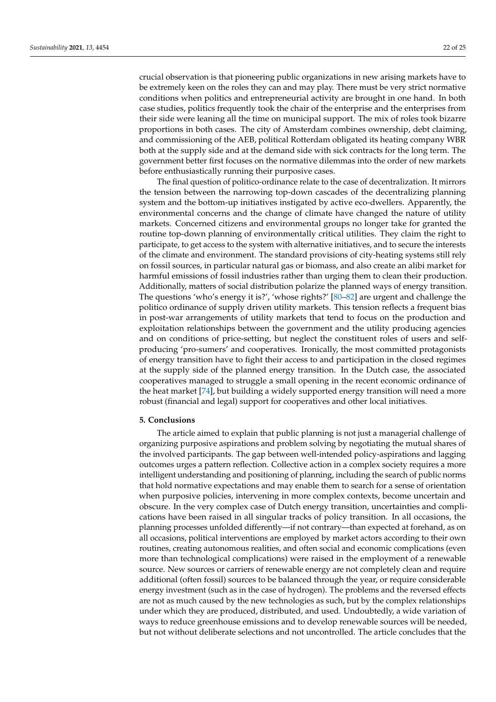crucial observation is that pioneering public organizations in new arising markets have to be extremely keen on the roles they can and may play. There must be very strict normative conditions when politics and entrepreneurial activity are brought in one hand. In both case studies, politics frequently took the chair of the enterprise and the enterprises from their side were leaning all the time on municipal support. The mix of roles took bizarre proportions in both cases. The city of Amsterdam combines ownership, debt claiming, and commissioning of the AEB, political Rotterdam obligated its heating company WBR both at the supply side and at the demand side with sick contracts for the long term. The government better first focuses on the normative dilemmas into the order of new markets before enthusiastically running their purposive cases.

The final question of politico-ordinance relate to the case of decentralization. It mirrors the tension between the narrowing top-down cascades of the decentralizing planning system and the bottom-up initiatives instigated by active eco-dwellers. Apparently, the environmental concerns and the change of climate have changed the nature of utility markets. Concerned citizens and environmental groups no longer take for granted the routine top-down planning of environmentally critical utilities. They claim the right to participate, to get access to the system with alternative initiatives, and to secure the interests of the climate and environment. The standard provisions of city-heating systems still rely on fossil sources, in particular natural gas or biomass, and also create an alibi market for harmful emissions of fossil industries rather than urging them to clean their production. Additionally, matters of social distribution polarize the planned ways of energy transition. The questions 'who's energy it is?', 'whose rights?' [\[80](#page-25-25)[–82\]](#page-25-26) are urgent and challenge the politico ordinance of supply driven utility markets. This tension reflects a frequent bias in post-war arrangements of utility markets that tend to focus on the production and exploitation relationships between the government and the utility producing agencies and on conditions of price-setting, but neglect the constituent roles of users and selfproducing 'pro-sumers' and cooperatives. Ironically, the most committed protagonists of energy transition have to fight their access to and participation in the closed regimes at the supply side of the planned energy transition. In the Dutch case, the associated cooperatives managed to struggle a small opening in the recent economic ordinance of the heat market [\[74\]](#page-25-19), but building a widely supported energy transition will need a more robust (financial and legal) support for cooperatives and other local initiatives.

#### **5. Conclusions**

The article aimed to explain that public planning is not just a managerial challenge of organizing purposive aspirations and problem solving by negotiating the mutual shares of the involved participants. The gap between well-intended policy-aspirations and lagging outcomes urges a pattern reflection. Collective action in a complex society requires a more intelligent understanding and positioning of planning, including the search of public norms that hold normative expectations and may enable them to search for a sense of orientation when purposive policies, intervening in more complex contexts, become uncertain and obscure. In the very complex case of Dutch energy transition, uncertainties and complications have been raised in all singular tracks of policy transition. In all occasions, the planning processes unfolded differently—if not contrary—than expected at forehand, as on all occasions, political interventions are employed by market actors according to their own routines, creating autonomous realities, and often social and economic complications (even more than technological complications) were raised in the employment of a renewable source. New sources or carriers of renewable energy are not completely clean and require additional (often fossil) sources to be balanced through the year, or require considerable energy investment (such as in the case of hydrogen). The problems and the reversed effects are not as much caused by the new technologies as such, but by the complex relationships under which they are produced, distributed, and used. Undoubtedly, a wide variation of ways to reduce greenhouse emissions and to develop renewable sources will be needed, but not without deliberate selections and not uncontrolled. The article concludes that the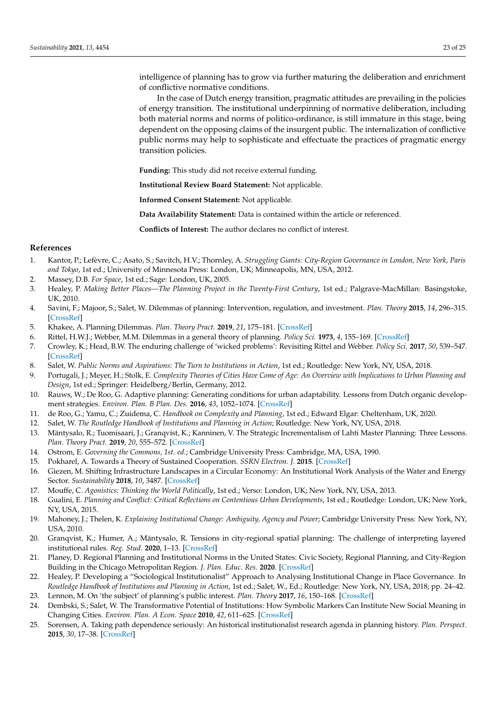intelligence of planning has to grow via further maturing the deliberation and enrichment of conflictive normative conditions.

In the case of Dutch energy transition, pragmatic attitudes are prevailing in the policies of energy transition. The institutional underpinning of normative deliberation, including both material norms and norms of politico-ordinance, is still immature in this stage, being dependent on the opposing claims of the insurgent public. The internalization of conflictive public norms may help to sophisticate and effectuate the practices of pragmatic energy transition policies.

**Funding:** This study did not receive external funding.

**Institutional Review Board Statement:** Not applicable.

**Informed Consent Statement:** Not applicable.

**Data Availability Statement:** Data is contained within the article or referenced.

**Conflicts of Interest:** The author declares no conflict of interest.

#### **References**

- <span id="page-23-0"></span>1. Kantor, P.; Lefèvre, C.; Asato, S.; Savitch, H.V.; Thornley, A. *Struggling Giants: City-Region Governance in London, New York, Paris and Tokyo*, 1st ed.; University of Minnesota Press: London, UK; Minneapolis, MN, USA, 2012.
- <span id="page-23-1"></span>2. Massey, D.B. *For Space*, 1st ed.; Sage: London, UK, 2005.
- <span id="page-23-2"></span>3. Healey, P. *Making Better Places—The Planning Project in the Twenty-First Century*, 1st ed.; Palgrave-MacMillan: Basingstoke, UK, 2010.
- <span id="page-23-3"></span>4. Savini, F.; Majoor, S.; Salet, W. Dilemmas of planning: Intervention, regulation, and investment. *Plan. Theory* **2015**, *14*, 296–315. [\[CrossRef\]](http://doi.org/10.1177/1473095214531430)
- <span id="page-23-4"></span>5. Khakee, A. Planning Dilemmas. *Plan. Theory Pract.* **2019**, *21*, 175–181. [\[CrossRef\]](http://doi.org/10.1080/14649357.2019.1700074)
- <span id="page-23-5"></span>6. Rittel, H.W.J.; Webber, M.M. Dilemmas in a general theory of planning. *Policy Sci.* **1973**, *4*, 155–169. [\[CrossRef\]](http://doi.org/10.1007/BF01405730)
- <span id="page-23-6"></span>7. Crowley, K.; Head, B.W. The enduring challenge of 'wicked problems': Revisiting Rittel and Webber. *Policy Sci.* **2017**, *50*, 539–547. [\[CrossRef\]](http://doi.org/10.1007/s11077-017-9302-4)
- <span id="page-23-7"></span>8. Salet, W. Public Norms and Aspirations: The Turn to Institutions in Action, 1st ed.; Routledge: New York, NY, USA, 2018.
- <span id="page-23-8"></span>9. Portugali, J.; Meyer, H.; Stolk, E. *Complexity Theories of Cities Have Come of Age: An Overview with Implications to Urban Planning and Design*, 1st ed.; Springer: Heidelberg/Berlin, Germany, 2012.
- 10. Rauws, W.; De Roo, G. Adaptive planning: Generating conditions for urban adaptability. Lessons from Dutch organic development strategies. *Environ. Plan. B Plan. Des.* **2016**, *43*, 1052–1074. [\[CrossRef\]](http://doi.org/10.1177/0265813516658886)
- <span id="page-23-9"></span>11. de Roo, G.; Yamu, C.; Zuidema, C. *Handbook on Complexity and Planning*, 1st ed.; Edward Elgar: Cheltenham, UK, 2020.
- <span id="page-23-10"></span>12. Salet, W. The Routledge Handbook of Institutions and Planning in Action; Routledge: New York, NY, USA, 2018.
- <span id="page-23-11"></span>13. Mäntysalo, R.; Tuomisaari, J.; Granqvist, K.; Kanninen, V. The Strategic Incrementalism of Lahti Master Planning: Three Lessons. *Plan. Theory Pract.* **2019**, *20*, 555–572. [\[CrossRef\]](http://doi.org/10.1080/14649357.2019.1652336)
- <span id="page-23-12"></span>14. Ostrom, E. *Governing the Commons, 1st. ed.*; Cambridge University Press: Cambridge, MA, USA, 1990.
- <span id="page-23-13"></span>15. Pokharel, A. Towards a Theory of Sustained Cooperation. *SSRN Electron. J.* **2015**. [\[CrossRef\]](http://doi.org/10.2139/ssrn.2592999)
- <span id="page-23-14"></span>16. Giezen, M. Shifting Infrastructure Landscapes in a Circular Economy: An Institutional Work Analysis of the Water and Energy Sector. *Sustainability* **2018**, *10*, 3487. [\[CrossRef\]](http://doi.org/10.3390/su10103487)
- <span id="page-23-15"></span>17. Mouffe, C. *Agonistics: Thinking the World Politically*, 1st ed.; Verso: London, UK; New York, NY, USA, 2013.
- <span id="page-23-16"></span>18. Gualini, E. *Planning and Conflict: Critical Reflections on Contentious Urban Developments*, 1st ed.; Routledge: London, UK; New York, NY, USA, 2015.
- <span id="page-23-17"></span>19. Mahoney, J.; Thelen, K. *Explaining Institutional Change: Ambiguity, Agency and Power*; Cambridge University Press: New York, NY, USA, 2010.
- <span id="page-23-18"></span>20. Granqvist, K.; Humer, A.; Mäntysalo, R. Tensions in city-regional spatial planning: The challenge of interpreting layered institutional rules. *Reg. Stud.* **2020**, 1–13. [\[CrossRef\]](http://doi.org/10.1080/00343404.2019.1707791)
- <span id="page-23-19"></span>21. Planey, D. Regional Planning and Institutional Norms in the United States: Civic Society, Regional Planning, and City-Region Building in the Chicago Metropolitan Region. *J. Plan. Educ. Res.* **2020**. [\[CrossRef\]](http://doi.org/10.1177/0739456X20937346)
- 22. Healey, P. Developing a "Sociological Institutionalist" Approach to Analysing Institutional Change in Place Governance. In *Routledge Handbook of Institutions and Planning in Action*, 1st ed.; Salet, W., Ed.; Routledge: New York, NY, USA, 2018; pp. 24–42. 23. Lennon, M. On 'the subject' of planning's public interest. *Plan. Theory* **2017**, *16*, 150–168. [\[CrossRef\]](http://doi.org/10.1177/1473095215621773)
- <span id="page-23-20"></span>24. Dembski, S.; Salet, W. The Transformative Potential of Institutions: How Symbolic Markers Can Institute New Social Meaning in Changing Cities. *Environ. Plan. A Econ. Space* **2010**, *42*, 611–625. [\[CrossRef\]](http://doi.org/10.1068/a42184)
- <span id="page-23-21"></span>25. Sorensen, A. Taking path dependence seriously: An historical institutionalist research agenda in planning history. *Plan. Perspect.* **2015**, *30*, 17–38. [\[CrossRef\]](http://doi.org/10.1080/02665433.2013.874299)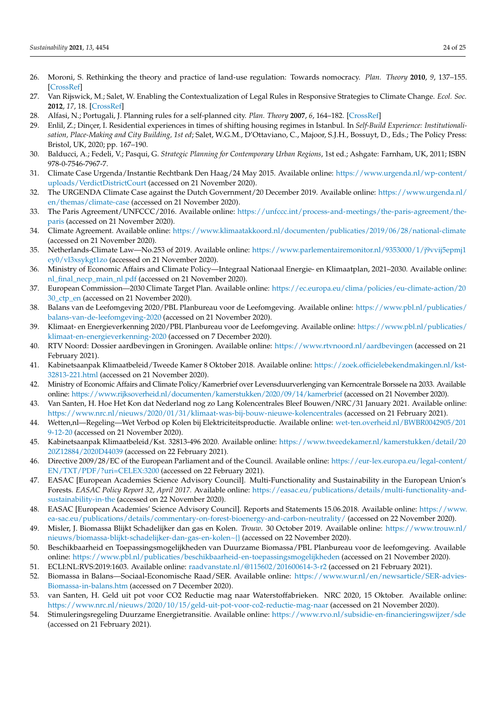- <span id="page-24-0"></span>26. Moroni, S. Rethinking the theory and practice of land-use regulation: Towards nomocracy. *Plan. Theory* **2010**, *9*, 137–155. [\[CrossRef\]](http://doi.org/10.1177/1473095209357868)
- 27. Van Rijswick, M.; Salet, W. Enabling the Contextualization of Legal Rules in Responsive Strategies to Climate Change. *Ecol. Soc.* **2012**, *17*, 18. [\[CrossRef\]](http://doi.org/10.5751/ES-04895-170218)
- <span id="page-24-1"></span>28. Alfasi, N.; Portugali, J. Planning rules for a self-planned city. *Plan. Theory* **2007**, *6*, 164–182. [\[CrossRef\]](http://doi.org/10.1177/1473095207077587)
- <span id="page-24-2"></span>29. Enlil, Z.; Dinҫer, I. Residential experiences in times of shifting housing regimes in Istanbul. In *Self-Build Experience: Institutionalisation, Place-Making and City Building, 1st ed*; Salet, W.G.M., D'Ottaviano, C., Majoor, S.J.H., Bossuyt, D., Eds.; The Policy Press: Bristol, UK, 2020; pp. 167–190.
- <span id="page-24-3"></span>30. Balducci, A.; Fedeli, V.; Pasqui, G. *Strategic Planning for Contemporary Urban Regions*, 1st ed.; Ashgate: Farnham, UK, 2011; ISBN 978-0-7546-7967-7.
- <span id="page-24-4"></span>31. Climate Case Urgenda/Instantie Rechtbank Den Haag/24 May 2015. Available online: [https://www.urgenda.nl/wp-content/](https://www.urgenda.nl/wp-content/uploads/VerdictDistrictCourt) [uploads/VerdictDistrictCourt](https://www.urgenda.nl/wp-content/uploads/VerdictDistrictCourt) (accessed on 21 November 2020).
- <span id="page-24-5"></span>32. The URGENDA Climate Case against the Dutch Government/20 December 2019. Available online: [https://www.urgenda.nl/](https://www.urgenda.nl/en/themas/climate-case) [en/themas/climate-case](https://www.urgenda.nl/en/themas/climate-case) (accessed on 21 November 2020).
- <span id="page-24-6"></span>33. The Paris Agreement/UNFCCC/2016. Available online: [https://unfccc.int/process-and-meetings/the-paris-agreement/the](https://unfccc.int/process-and-meetings/the-paris-agreement/the-paris)[paris](https://unfccc.int/process-and-meetings/the-paris-agreement/the-paris) (accessed on 21 November 2020).
- <span id="page-24-7"></span>34. Climate Agreement. Available online: <https://www.klimaatakkoord.nl/documenten/publicaties/2019/06/28/national-climate> (accessed on 21 November 2020).
- <span id="page-24-8"></span>35. Netherlands-Climate Law—No.253 of 2019. Available online: [https://www.parlementairemonitor.nl/9353000/1/j9vvij5epmj1](https://www.parlementairemonitor.nl/9353000/1/j9vvij5epmj1ey0/vl3xsykgt1zo) [ey0/vl3xsykgt1zo](https://www.parlementairemonitor.nl/9353000/1/j9vvij5epmj1ey0/vl3xsykgt1zo) (accessed on 21 November 2020).
- <span id="page-24-9"></span>36. Ministry of Economic Affairs and Climate Policy—Integraal Nationaal Energie- en Klimaatplan, 2021–2030. Available online: [nl\\_final\\_necp\\_main\\_nl.pdf](nl_final_necp_main_nl.pdf) (accessed on 21 November 2020).
- <span id="page-24-10"></span>37. European Commission—2030 Climate Target Plan. Available online: [https://ec.europa.eu/clima/policies/eu-climate-action/20](https://ec.europa.eu/clima/policies/eu-climate-action/2030_ctp_en) [30\\_ctp\\_en](https://ec.europa.eu/clima/policies/eu-climate-action/2030_ctp_en) (accessed on 21 November 2020).
- <span id="page-24-11"></span>38. Balans van de Leefomgeving 2020/PBL Planbureau voor de Leefomgeving. Available online: [https://www.pbl.nl/publicaties/](https://www.pbl.nl/publicaties/balans-van-de-leefomgeving-2020) [balans-van-de-leefomgeving-2020](https://www.pbl.nl/publicaties/balans-van-de-leefomgeving-2020) (accessed on 21 November 2020).
- <span id="page-24-12"></span>39. Klimaat- en Energieverkenning 2020/PBL Planbureau voor de Leefomgeving. Available online: [https://www.pbl.nl/publicaties/](https://www.pbl.nl/publicaties/klimaat-en-energieverkenning-2020) [klimaat-en-energieverkenning-2020](https://www.pbl.nl/publicaties/klimaat-en-energieverkenning-2020) (accessed on 7 December 2020).
- <span id="page-24-13"></span>40. RTV Noord: Dossier aardbevingen in Groningen. Available online: <https://www.rtvnoord.nl/aardbevingen> (accessed on 21 February 2021).
- <span id="page-24-14"></span>41. Kabinetsaanpak Klimaatbeleid/Tweede Kamer 8 Oktober 2018. Available online: [https://zoek.officielebekendmakingen.nl/kst-](https://zoek.officielebekendmakingen.nl/kst-32813-221.html)[32813-221.html](https://zoek.officielebekendmakingen.nl/kst-32813-221.html) (accessed on 21 November 2020).
- <span id="page-24-15"></span>42. Ministry of Economic Affairs and Climate Policy/Kamerbrief over Levensduurverlenging van Kerncentrale Borssele na 2033. Available online: <https://www.rijksoverheid.nl/documenten/kamerstukken/2020/09/14/kamerbrief> (accessed on 21 November 2020).
- <span id="page-24-16"></span>43. Van Santen, H. Hoe Het Kon dat Nederland nog zo Lang Kolencentrales Bleef Bouwen/NRC/31 January 2021. Available online: <https://www.nrc.nl/nieuws/2020/01/31/klimaat-was-bij-bouw-nieuwe-kolencentrales> (accessed on 21 February 2021).
- <span id="page-24-17"></span>44. Wetten,nl—Regeling—Wet Verbod op Kolen bij Elektriciteitsproductie. Available online: [wet-ten.overheid.nl/BWBR0042905/201](wet-ten.overheid.nl/BWBR0042905/2019-12-20) [9-12-20](wet-ten.overheid.nl/BWBR0042905/2019-12-20) (accessed on 21 November 2020).
- <span id="page-24-18"></span>45. Kabinetsaanpak Klimaatbeleid/Kst. 32813-496 2020. Available online: [https://www.tweedekamer.nl/kamerstukken/detail/20](https://www.tweedekamer.nl/kamerstukken/detail/2020Z12884/2020D44039) [20Z12884/2020D44039](https://www.tweedekamer.nl/kamerstukken/detail/2020Z12884/2020D44039) (accessed on 22 February 2021).
- <span id="page-24-19"></span>46. Directive 2009/28/EC of the European Parliament and of the Council. Available online: [https://eur-lex.europa.eu/legal-content/](https://eur-lex.europa.eu/legal-content/EN/TXT/PDF/?uri=CELEX:3200) [EN/TXT/PDF/?uri=CELEX:3200](https://eur-lex.europa.eu/legal-content/EN/TXT/PDF/?uri=CELEX:3200) (accessed on 22 February 2021).
- <span id="page-24-20"></span>47. EASAC [European Academies Science Advisory Council]. Multi-Functionality and Sustainability in the European Union's Forests. *EASAC Policy Report 32, April 2017.* Available online: [https://easac.eu/publications/details/multi-functionality-and](https://easac.eu/publications/details/multi-functionality-and-sustainability-in-the)[sustainability-in-the](https://easac.eu/publications/details/multi-functionality-and-sustainability-in-the) (accessed on 22 November 2020).
- <span id="page-24-21"></span>48. EASAC [European Academies' Science Advisory Council]. Reports and Statements 15.06.2018. Available online: [https://www.](https://www.ea-sac.eu/publications/details/commentary-on-forest-bioenergy-and-carbon-neutrality/) [ea-sac.eu/publications/details/commentary-on-forest-bioenergy-and-carbon-neutrality/](https://www.ea-sac.eu/publications/details/commentary-on-forest-bioenergy-and-carbon-neutrality/) (accessed on 22 November 2020).
- <span id="page-24-22"></span>49. Misler, J. Biomassa Blijkt Schadelijker dan gas en Kolen. *Trouw*. 30 October 2019. Available online: [https://www.trouw.nl/](https://www.trouw.nl/nieuws/biomassa-blijkt-schadelijker-dan-gas-en-kolen~{}) [nieuws/biomassa-blijkt-schadelijker-dan-gas-en-kolen~{}](https://www.trouw.nl/nieuws/biomassa-blijkt-schadelijker-dan-gas-en-kolen~{}) (accessed on 22 November 2020).
- <span id="page-24-23"></span>50. Beschikbaarheid en Toepassingsmogelijkheden van Duurzame Biomassa/PBL Planbureau voor de leefomgeving. Available online: <https://www.pbl.nl/publicaties/beschikbaarheid-en-toepassingsmogelijkheden> (accessed on 21 November 2020). 51. ECLI:NL:RVS:2019:1603. Available online: <raadvanstate.nl/@115602/201600614-3-r2> (accessed on 21 February 2021).
- <span id="page-24-25"></span><span id="page-24-24"></span>52. Biomassa in Balans—Sociaal-Economische Raad/SER. Available online: [https://www.wur.nl/en/newsarticle/SER-advies-](https://www.wur.nl/en/newsarticle/SER-advies-Biomassa-in-balans.htm)[Biomassa-in-balans.htm](https://www.wur.nl/en/newsarticle/SER-advies-Biomassa-in-balans.htm) (accessed on 7 December 2020).
- <span id="page-24-26"></span>53. van Santen, H. Geld uit pot voor CO2 Reductie mag naar Waterstoffabrieken. NRC 2020, 15 Oktober. Available online: <https://www.nrc.nl/nieuws/2020/10/15/geld-uit-pot-voor-co2-reductie-mag-naar> (accessed on 21 November 2020).
- <span id="page-24-27"></span>54. Stimuleringsregeling Duurzame Energietransitie. Available online: <https://www.rvo.nl/subsidie-en-financieringswijzer/sde> (accessed on 21 February 2021).